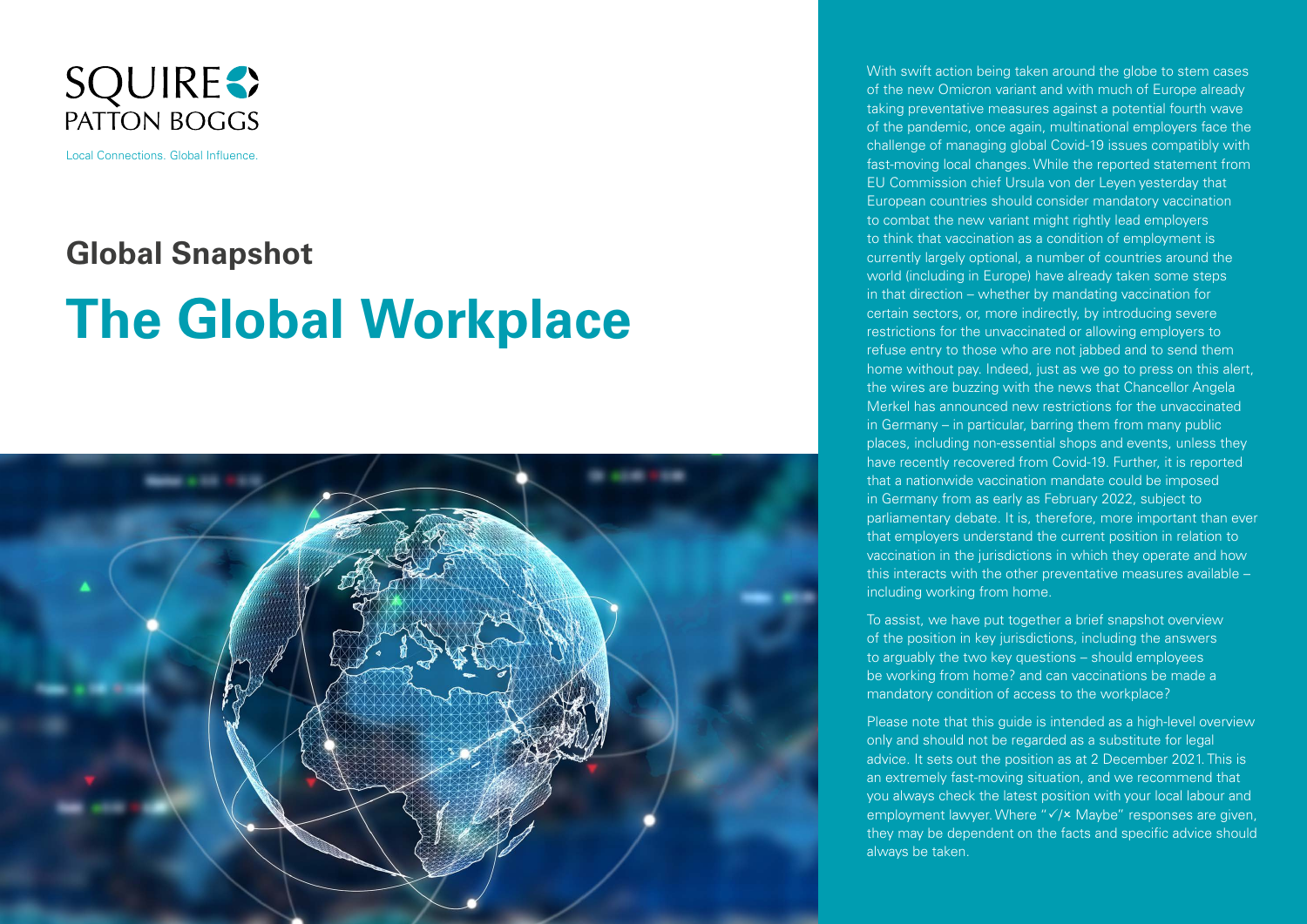

Local Connections. Global Influence.

# **Global Snapshot**

# **The Global Workplace**



With swift action being taken around the globe to stem cases of the new Omicron variant and with much of Europe already taking preventative measures against a potential fourth wave of the pandemic, once again, multinational employers face the challenge of managing global Covid-19 issues compatibly with fast-moving local changes. While the reported statement from EU Commission chief Ursula von der Leyen yesterday that European countries should consider mandatory vaccination to combat the new variant might rightly lead employers to think that vaccination as a condition of employment is currently largely optional, a number of countries around the world (including in Europe) have already taken some steps in that direction – whether by mandating vaccination for certain sectors, or, more indirectly, by introducing severe restrictions for the unvaccinated or allowing employers to refuse entry to those who are not jabbed and to send them home without pay. Indeed, just as we go to press on this alert, the wires are buzzing with the news that Chancellor Angela Merkel has announced new restrictions for the unvaccinated in Germany – in particular, barring them from many public places, including non-essential shops and events, unless they have recently recovered from Covid-19. Further, it is reported that a nationwide vaccination mandate could be imposed in Germany from as early as February 2022, subject to parliamentary debate. It is, therefore, more important than ever that employers understand the current position in relation to vaccination in the jurisdictions in which they operate and how this interacts with the other preventative measures available – including working from home.

To assist, we have put together a brief snapshot overview of the position in key jurisdictions, including the answers to arguably the two key questions – should employees be working from home? and can vaccinations be made a mandatory condition of access to the workplace?

Please note that this guide is intended as a high-level overview only and should not be regarded as a substitute for legal advice. It sets out the position as at 2 December 2021. This is an extremely fast-moving situation, and we recommend that you always check the latest position with your local labour and employment lawyer. Where " $\sqrt{2}$  Maybe" responses are given, they may be dependent on the facts and specific advice should always be taken.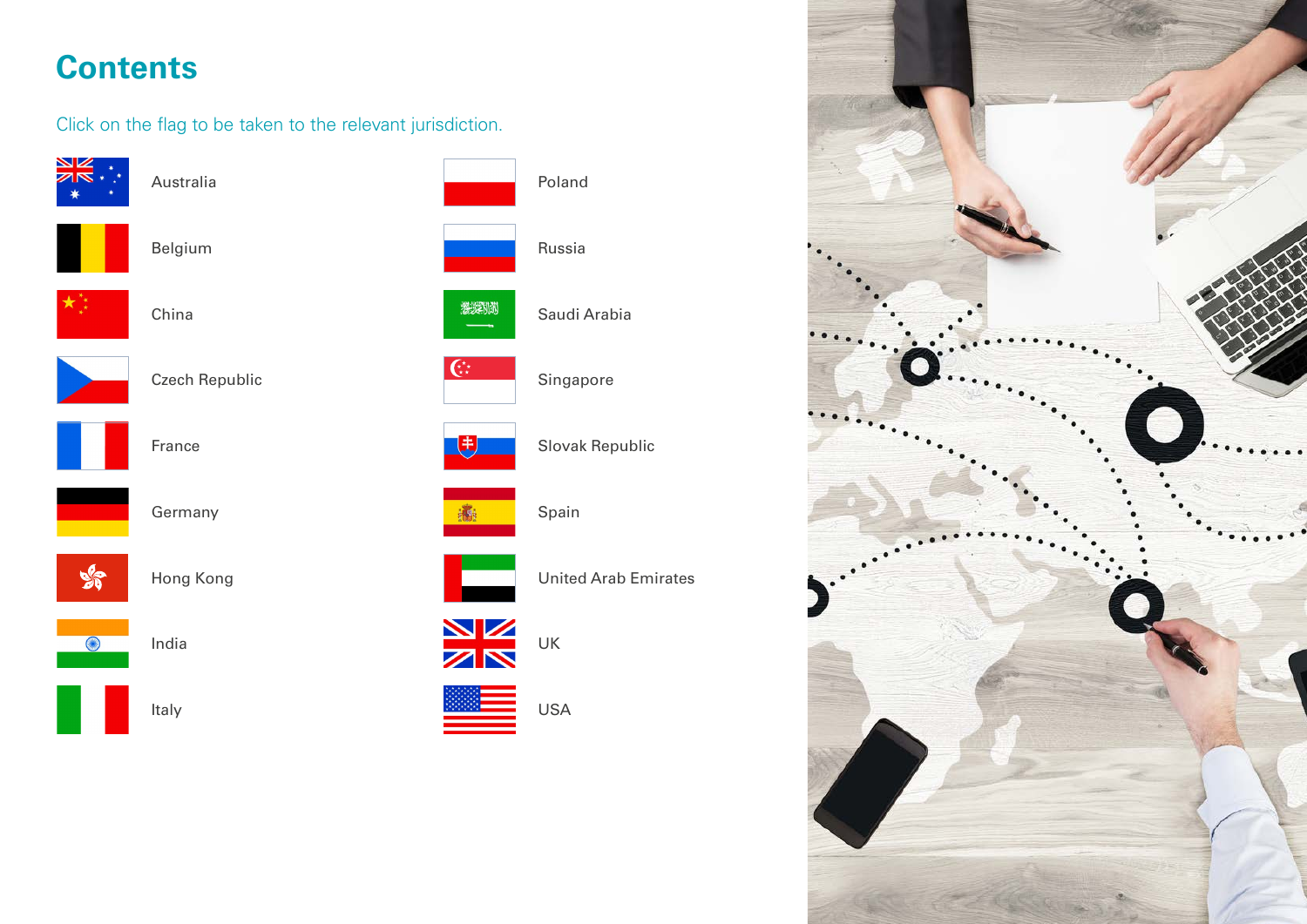# <span id="page-1-0"></span>**Contents**

Click on the flag to be taken to the relevant jurisdiction.



Poland Russia 激发 Saudi Arabia  $\overline{C^{\star}_{\star}}$ Singapore Slovak Republic 飞 Spain United Arab Emirates **NK** UK





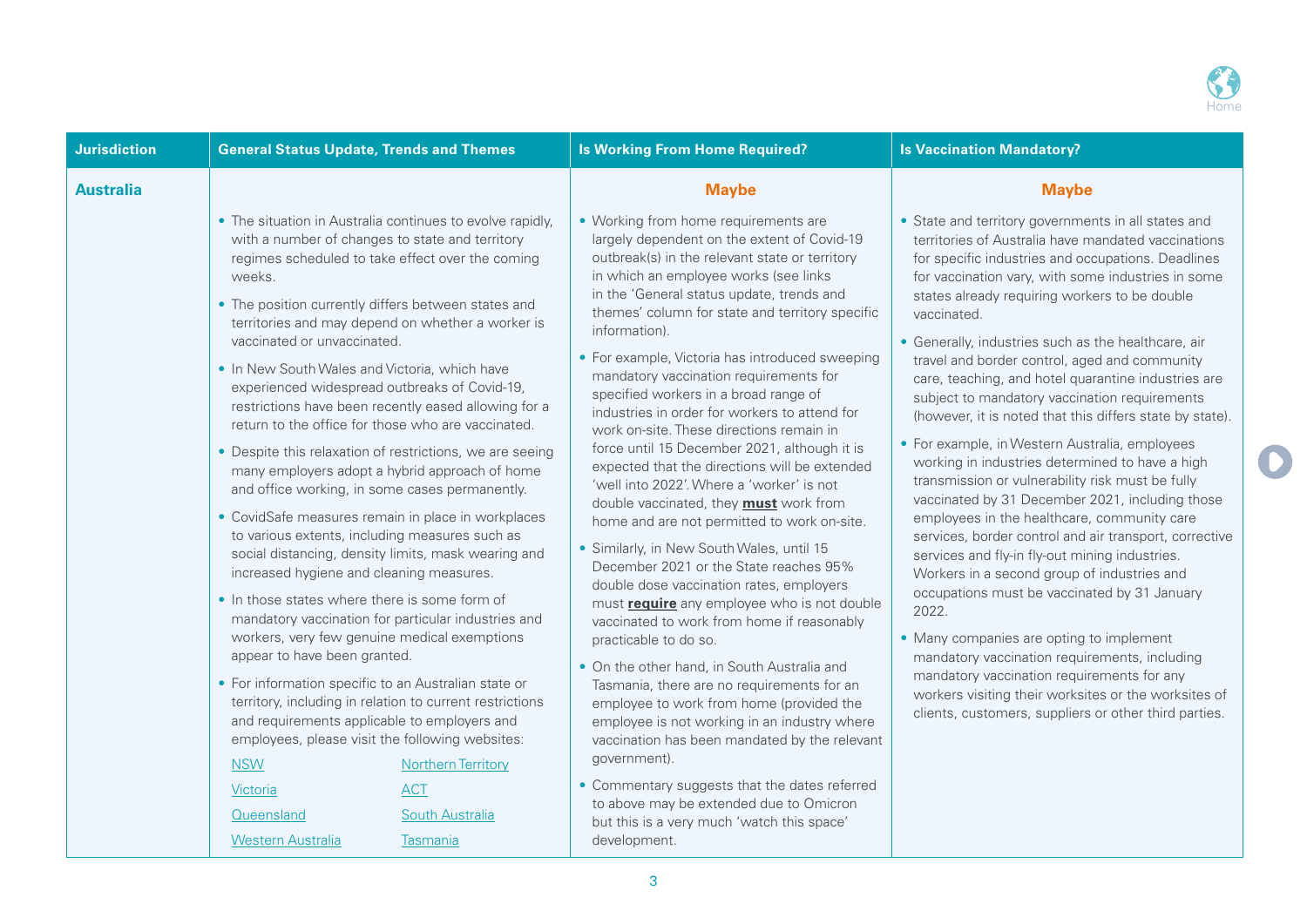

 $\bigcirc$ 

<span id="page-2-0"></span>

| <b>Jurisdiction</b> | <b>General Status Update, Trends and Themes</b>                                                                                                                                                                                                                                                                                                                                                                                                                                                                                                                                                                                                                                                                                                                                                                                                                                                                                                                                                                                                                                                                                                                                                                                                                                                                                                                                                                                                                                      | <b>Is Working From Home Required?</b>                                                                                                                                                                                                                                                                                                                                                                                                                                                                                                                                                                                                                                                                                                                                                                                                                                                                                                                                                                                                                                                                                                                                                                                                                                                                                                                                                                                                                                | <b>Is Vaccination Mandatory?</b>                                                                                                                                                                                                                                                                                                                                                                                                                                                                                                                                                                                                                                                                                                                                                                                                                                                                                                                                                                                                                                                                                                                                                                                                                                                                              |
|---------------------|--------------------------------------------------------------------------------------------------------------------------------------------------------------------------------------------------------------------------------------------------------------------------------------------------------------------------------------------------------------------------------------------------------------------------------------------------------------------------------------------------------------------------------------------------------------------------------------------------------------------------------------------------------------------------------------------------------------------------------------------------------------------------------------------------------------------------------------------------------------------------------------------------------------------------------------------------------------------------------------------------------------------------------------------------------------------------------------------------------------------------------------------------------------------------------------------------------------------------------------------------------------------------------------------------------------------------------------------------------------------------------------------------------------------------------------------------------------------------------------|----------------------------------------------------------------------------------------------------------------------------------------------------------------------------------------------------------------------------------------------------------------------------------------------------------------------------------------------------------------------------------------------------------------------------------------------------------------------------------------------------------------------------------------------------------------------------------------------------------------------------------------------------------------------------------------------------------------------------------------------------------------------------------------------------------------------------------------------------------------------------------------------------------------------------------------------------------------------------------------------------------------------------------------------------------------------------------------------------------------------------------------------------------------------------------------------------------------------------------------------------------------------------------------------------------------------------------------------------------------------------------------------------------------------------------------------------------------------|---------------------------------------------------------------------------------------------------------------------------------------------------------------------------------------------------------------------------------------------------------------------------------------------------------------------------------------------------------------------------------------------------------------------------------------------------------------------------------------------------------------------------------------------------------------------------------------------------------------------------------------------------------------------------------------------------------------------------------------------------------------------------------------------------------------------------------------------------------------------------------------------------------------------------------------------------------------------------------------------------------------------------------------------------------------------------------------------------------------------------------------------------------------------------------------------------------------------------------------------------------------------------------------------------------------|
| <b>Australia</b>    |                                                                                                                                                                                                                                                                                                                                                                                                                                                                                                                                                                                                                                                                                                                                                                                                                                                                                                                                                                                                                                                                                                                                                                                                                                                                                                                                                                                                                                                                                      | <b>Maybe</b>                                                                                                                                                                                                                                                                                                                                                                                                                                                                                                                                                                                                                                                                                                                                                                                                                                                                                                                                                                                                                                                                                                                                                                                                                                                                                                                                                                                                                                                         | <b>Maybe</b>                                                                                                                                                                                                                                                                                                                                                                                                                                                                                                                                                                                                                                                                                                                                                                                                                                                                                                                                                                                                                                                                                                                                                                                                                                                                                                  |
|                     | • The situation in Australia continues to evolve rapidly,<br>with a number of changes to state and territory<br>regimes scheduled to take effect over the coming<br>weeks.<br>• The position currently differs between states and<br>territories and may depend on whether a worker is<br>vaccinated or unvaccinated.<br>• In New South Wales and Victoria, which have<br>experienced widespread outbreaks of Covid-19,<br>restrictions have been recently eased allowing for a<br>return to the office for those who are vaccinated.<br>• Despite this relaxation of restrictions, we are seeing<br>many employers adopt a hybrid approach of home<br>and office working, in some cases permanently.<br>• CovidSafe measures remain in place in workplaces<br>to various extents, including measures such as<br>social distancing, density limits, mask wearing and<br>increased hygiene and cleaning measures.<br>• In those states where there is some form of<br>mandatory vaccination for particular industries and<br>workers, very few genuine medical exemptions<br>appear to have been granted.<br>• For information specific to an Australian state or<br>territory, including in relation to current restrictions<br>and requirements applicable to employers and<br>employees, please visit the following websites:<br><b>NSW</b><br><b>Northern Territory</b><br>Victoria<br><b>ACT</b><br>Queensland<br>South Australia<br><b>Western Australia</b><br><b>Tasmania</b> | • Working from home requirements are<br>largely dependent on the extent of Covid-19<br>outbreak(s) in the relevant state or territory<br>in which an employee works (see links<br>in the 'General status update, trends and<br>themes' column for state and territory specific<br>information).<br>• For example, Victoria has introduced sweeping<br>mandatory vaccination requirements for<br>specified workers in a broad range of<br>industries in order for workers to attend for<br>work on-site. These directions remain in<br>force until 15 December 2021, although it is<br>expected that the directions will be extended<br>'well into 2022'. Where a 'worker' is not<br>double vaccinated, they <b>must</b> work from<br>home and are not permitted to work on-site.<br>• Similarly, in New South Wales, until 15<br>December 2021 or the State reaches 95%<br>double dose vaccination rates, employers<br>must <b>require</b> any employee who is not double<br>vaccinated to work from home if reasonably<br>practicable to do so.<br>• On the other hand, in South Australia and<br>Tasmania, there are no requirements for an<br>employee to work from home (provided the<br>employee is not working in an industry where<br>vaccination has been mandated by the relevant<br>government).<br>• Commentary suggests that the dates referred<br>to above may be extended due to Omicron<br>but this is a very much 'watch this space'<br>development. | • State and territory governments in all states and<br>territories of Australia have mandated vaccinations<br>for specific industries and occupations. Deadlines<br>for vaccination vary, with some industries in some<br>states already requiring workers to be double<br>vaccinated.<br>• Generally, industries such as the healthcare, air<br>travel and border control, aged and community<br>care, teaching, and hotel quarantine industries are<br>subject to mandatory vaccination requirements<br>(however, it is noted that this differs state by state).<br>• For example, in Western Australia, employees<br>working in industries determined to have a high<br>transmission or vulnerability risk must be fully<br>vaccinated by 31 December 2021, including those<br>employees in the healthcare, community care<br>services, border control and air transport, corrective<br>services and fly-in fly-out mining industries.<br>Workers in a second group of industries and<br>occupations must be vaccinated by 31 January<br>2022.<br>• Many companies are opting to implement<br>mandatory vaccination requirements, including<br>mandatory vaccination requirements for any<br>workers visiting their worksites or the worksites of<br>clients, customers, suppliers or other third parties. |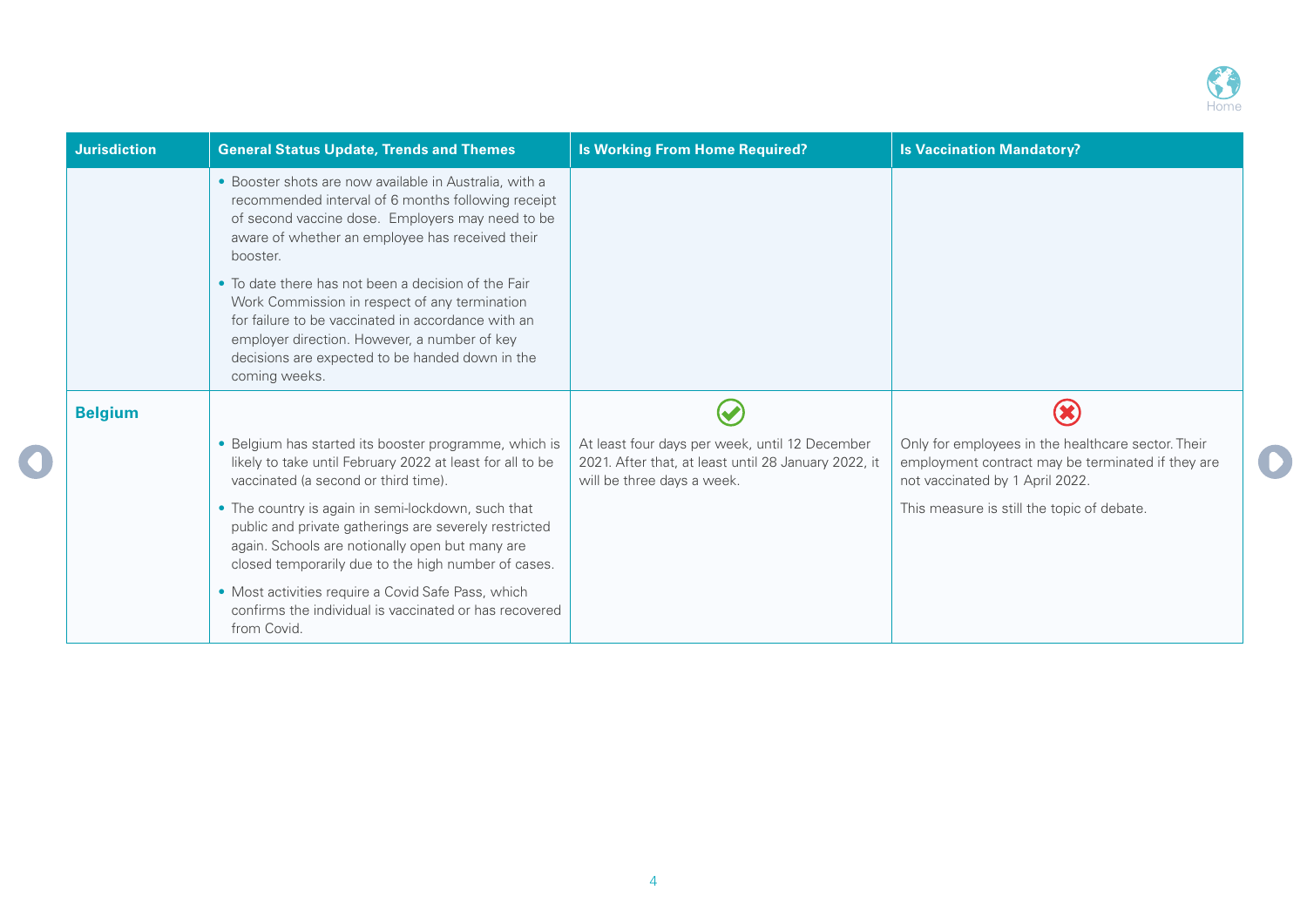

| <b>Jurisdiction</b> | <b>General Status Update, Trends and Themes</b>                                                                                                                                                                                                                                | <b>Is Working From Home Required?</b>                                                                                                | <b>Is Vaccination Mandatory?</b>                                                                                                           |
|---------------------|--------------------------------------------------------------------------------------------------------------------------------------------------------------------------------------------------------------------------------------------------------------------------------|--------------------------------------------------------------------------------------------------------------------------------------|--------------------------------------------------------------------------------------------------------------------------------------------|
|                     | • Booster shots are now available in Australia, with a<br>recommended interval of 6 months following receipt<br>of second vaccine dose. Employers may need to be<br>aware of whether an employee has received their<br>booster.                                                |                                                                                                                                      |                                                                                                                                            |
|                     | • To date there has not been a decision of the Fair<br>Work Commission in respect of any termination<br>for failure to be vaccinated in accordance with an<br>employer direction. However, a number of key<br>decisions are expected to be handed down in the<br>coming weeks. |                                                                                                                                      |                                                                                                                                            |
| <b>Belgium</b>      |                                                                                                                                                                                                                                                                                |                                                                                                                                      |                                                                                                                                            |
|                     | • Belgium has started its booster programme, which is<br>likely to take until February 2022 at least for all to be<br>vaccinated (a second or third time).                                                                                                                     | At least four days per week, until 12 December<br>2021. After that, at least until 28 January 2022, it<br>will be three days a week. | Only for employees in the healthcare sector. Their<br>employment contract may be terminated if they are<br>not vaccinated by 1 April 2022. |
|                     | • The country is again in semi-lockdown, such that<br>public and private gatherings are severely restricted<br>again. Schools are notionally open but many are<br>closed temporarily due to the high number of cases.                                                          |                                                                                                                                      | This measure is still the topic of debate.                                                                                                 |
|                     | • Most activities require a Covid Safe Pass, which<br>confirms the individual is vaccinated or has recovered<br>from Covid.                                                                                                                                                    |                                                                                                                                      |                                                                                                                                            |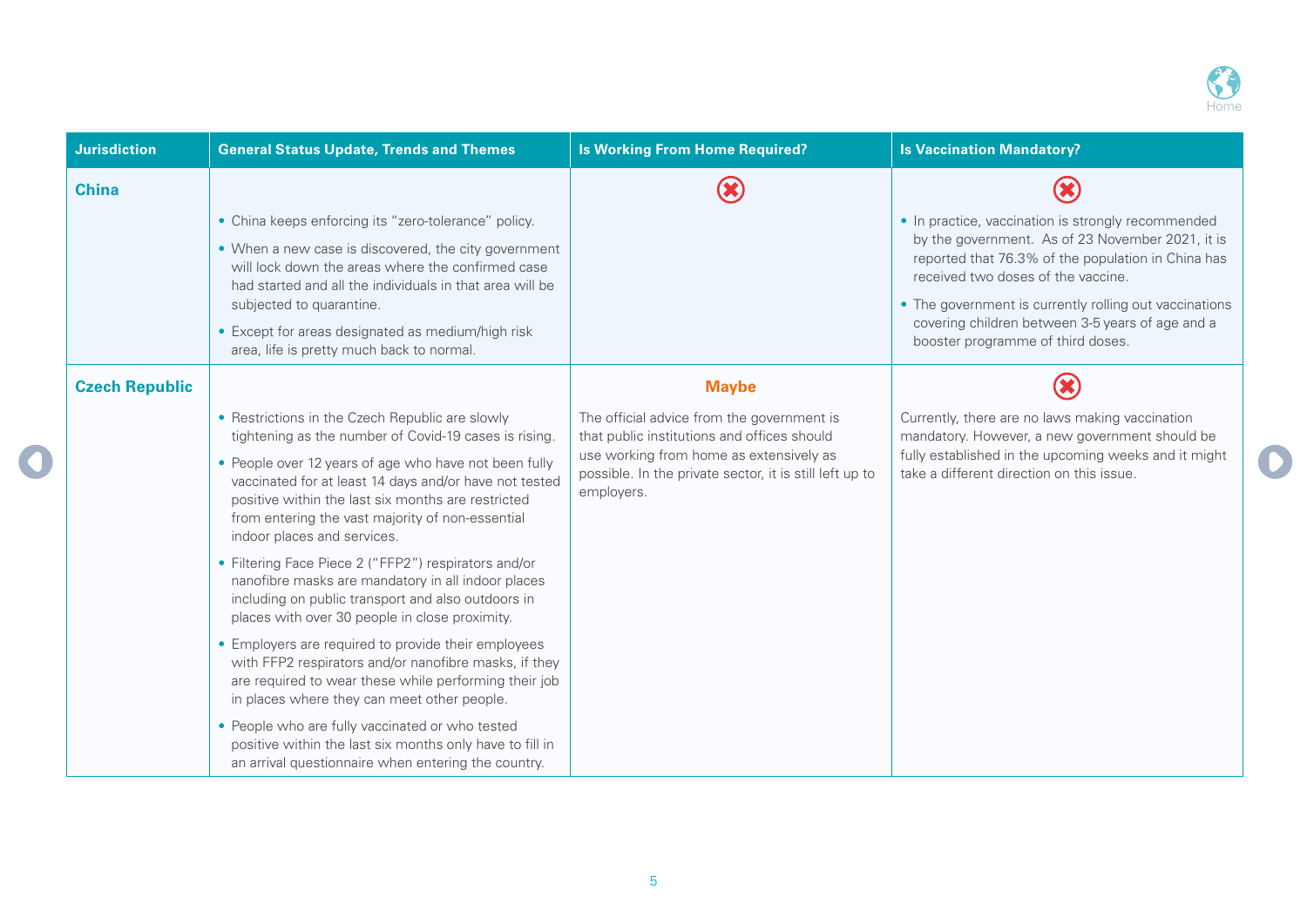

| <b>Jurisdiction</b>   | <b>General Status Update, Trends and Themes</b>                                                                                                                                                                                                          | <b>Is Working From Home Required?</b>                                                                            | <b>Is Vaccination Mandatory?</b>                                                                                                                |
|-----------------------|----------------------------------------------------------------------------------------------------------------------------------------------------------------------------------------------------------------------------------------------------------|------------------------------------------------------------------------------------------------------------------|-------------------------------------------------------------------------------------------------------------------------------------------------|
| <b>China</b>          |                                                                                                                                                                                                                                                          |                                                                                                                  |                                                                                                                                                 |
|                       | • China keeps enforcing its "zero-tolerance" policy.                                                                                                                                                                                                     |                                                                                                                  | • In practice, vaccination is strongly recommended                                                                                              |
|                       | • When a new case is discovered, the city government<br>will lock down the areas where the confirmed case<br>had started and all the individuals in that area will be                                                                                    |                                                                                                                  | by the government. As of 23 November 2021, it is<br>reported that 76.3% of the population in China has<br>received two doses of the vaccine.    |
|                       | subjected to quarantine.<br>• Except for areas designated as medium/high risk                                                                                                                                                                            |                                                                                                                  | • The government is currently rolling out vaccinations<br>covering children between 3-5 years of age and a<br>booster programme of third doses. |
|                       | area, life is pretty much back to normal.                                                                                                                                                                                                                |                                                                                                                  |                                                                                                                                                 |
| <b>Czech Republic</b> |                                                                                                                                                                                                                                                          | <b>Maybe</b>                                                                                                     |                                                                                                                                                 |
|                       | • Restrictions in the Czech Republic are slowly<br>tightening as the number of Covid-19 cases is rising.                                                                                                                                                 | The official advice from the government is<br>that public institutions and offices should                        | Currently, there are no laws making vaccination<br>mandatory. However, a new government should be                                               |
|                       | • People over 12 years of age who have not been fully<br>vaccinated for at least 14 days and/or have not tested<br>positive within the last six months are restricted<br>from entering the vast majority of non-essential<br>indoor places and services. | use working from home as extensively as<br>possible. In the private sector, it is still left up to<br>employers. | fully established in the upcoming weeks and it might<br>take a different direction on this issue.                                               |
|                       | • Filtering Face Piece 2 ("FFP2") respirators and/or<br>nanofibre masks are mandatory in all indoor places<br>including on public transport and also outdoors in<br>places with over 30 people in close proximity.                                       |                                                                                                                  |                                                                                                                                                 |
|                       | • Employers are required to provide their employees<br>with FFP2 respirators and/or nanofibre masks, if they<br>are required to wear these while performing their job<br>in places where they can meet other people.                                     |                                                                                                                  |                                                                                                                                                 |
|                       | • People who are fully vaccinated or who tested<br>positive within the last six months only have to fill in<br>an arrival questionnaire when entering the country.                                                                                       |                                                                                                                  |                                                                                                                                                 |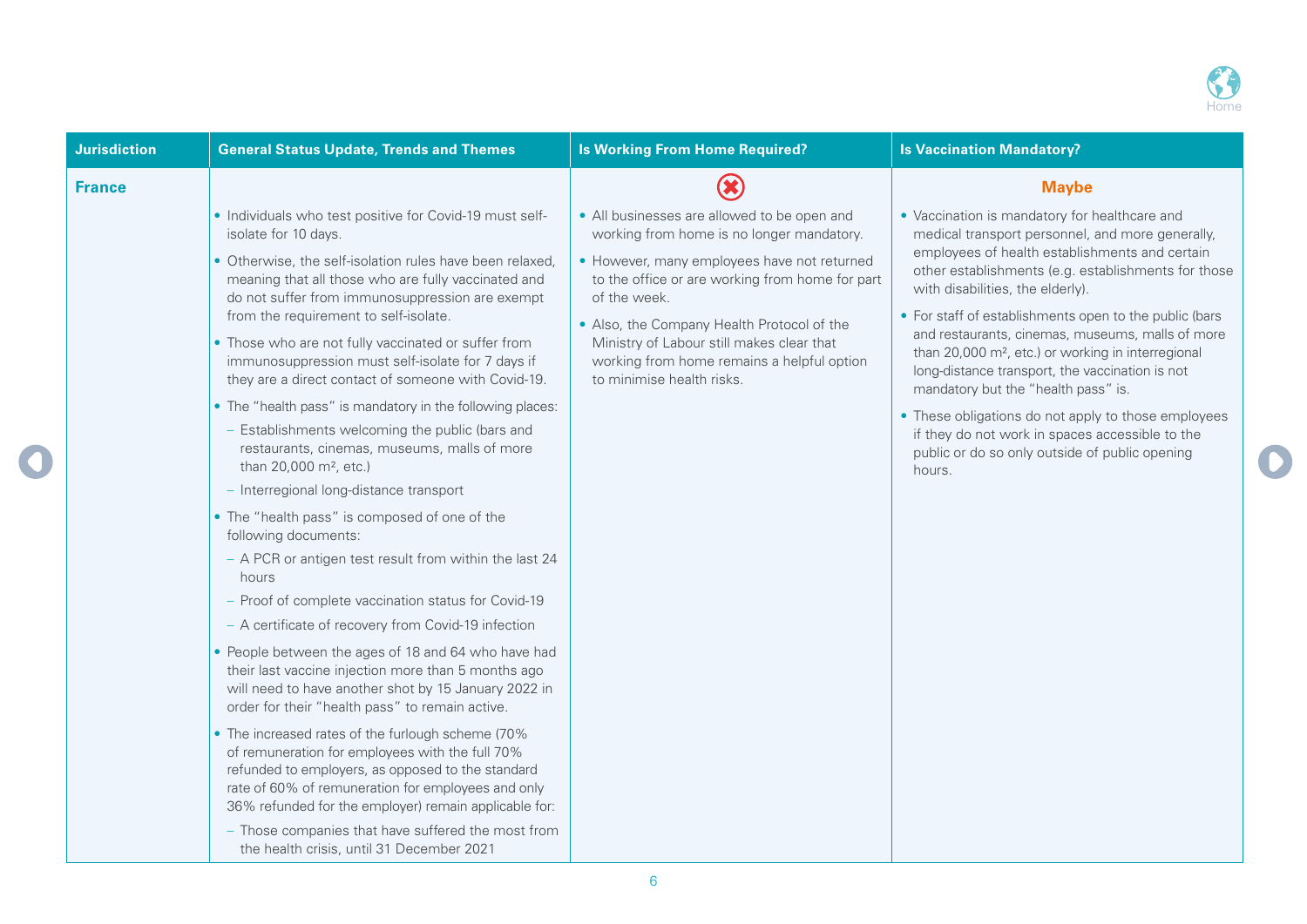

| <b>Jurisdiction</b> | <b>General Status Update, Trends and Themes</b>                                                                                                                                                                                                                                                                                                                                                                                                                                                                                                                                                                                                                                                                                                                                                                                                                                                                                                                                                                                                                                                                                                                                                                                                                                                                                                                                                                                                                                                                                                                                      | <b>Is Working From Home Required?</b>                                                                                                                                                                                                                                                                                                                                            | <b>Is Vaccination Mandatory?</b>                                                                                                                                                                                                                                                                                                                                                                                                                                                                                                                                                                                                                                                               |
|---------------------|--------------------------------------------------------------------------------------------------------------------------------------------------------------------------------------------------------------------------------------------------------------------------------------------------------------------------------------------------------------------------------------------------------------------------------------------------------------------------------------------------------------------------------------------------------------------------------------------------------------------------------------------------------------------------------------------------------------------------------------------------------------------------------------------------------------------------------------------------------------------------------------------------------------------------------------------------------------------------------------------------------------------------------------------------------------------------------------------------------------------------------------------------------------------------------------------------------------------------------------------------------------------------------------------------------------------------------------------------------------------------------------------------------------------------------------------------------------------------------------------------------------------------------------------------------------------------------------|----------------------------------------------------------------------------------------------------------------------------------------------------------------------------------------------------------------------------------------------------------------------------------------------------------------------------------------------------------------------------------|------------------------------------------------------------------------------------------------------------------------------------------------------------------------------------------------------------------------------------------------------------------------------------------------------------------------------------------------------------------------------------------------------------------------------------------------------------------------------------------------------------------------------------------------------------------------------------------------------------------------------------------------------------------------------------------------|
| <b>France</b>       |                                                                                                                                                                                                                                                                                                                                                                                                                                                                                                                                                                                                                                                                                                                                                                                                                                                                                                                                                                                                                                                                                                                                                                                                                                                                                                                                                                                                                                                                                                                                                                                      |                                                                                                                                                                                                                                                                                                                                                                                  | <b>Maybe</b>                                                                                                                                                                                                                                                                                                                                                                                                                                                                                                                                                                                                                                                                                   |
|                     | • Individuals who test positive for Covid-19 must self-<br>isolate for 10 days.<br>• Otherwise, the self-isolation rules have been relaxed,<br>meaning that all those who are fully vaccinated and<br>do not suffer from immunosuppression are exempt<br>from the requirement to self-isolate.<br>• Those who are not fully vaccinated or suffer from<br>immunosuppression must self-isolate for 7 days if<br>they are a direct contact of someone with Covid-19.<br>• The "health pass" is mandatory in the following places:<br>- Establishments welcoming the public (bars and<br>restaurants, cinemas, museums, malls of more<br>than 20,000 m <sup>2</sup> , etc.)<br>- Interregional long-distance transport<br>• The "health pass" is composed of one of the<br>following documents:<br>- A PCR or antigen test result from within the last 24<br>hours<br>- Proof of complete vaccination status for Covid-19<br>- A certificate of recovery from Covid-19 infection<br>• People between the ages of 18 and 64 who have had<br>their last vaccine injection more than 5 months ago<br>will need to have another shot by 15 January 2022 in<br>order for their "health pass" to remain active.<br>• The increased rates of the furlough scheme (70%<br>of remuneration for employees with the full 70%<br>refunded to employers, as opposed to the standard<br>rate of 60% of remuneration for employees and only<br>36% refunded for the employer) remain applicable for:<br>- Those companies that have suffered the most from<br>the health crisis, until 31 December 2021 | • All businesses are allowed to be open and<br>working from home is no longer mandatory.<br>• However, many employees have not returned<br>to the office or are working from home for part<br>of the week.<br>• Also, the Company Health Protocol of the<br>Ministry of Labour still makes clear that<br>working from home remains a helpful option<br>to minimise health risks. | • Vaccination is mandatory for healthcare and<br>medical transport personnel, and more generally,<br>employees of health establishments and certain<br>other establishments (e.g. establishments for those<br>with disabilities, the elderly).<br>• For staff of establishments open to the public (bars<br>and restaurants, cinemas, museums, malls of more<br>than 20,000 m <sup>2</sup> , etc.) or working in interregional<br>long-distance transport, the vaccination is not<br>mandatory but the "health pass" is.<br>• These obligations do not apply to those employees<br>if they do not work in spaces accessible to the<br>public or do so only outside of public opening<br>hours. |
|                     |                                                                                                                                                                                                                                                                                                                                                                                                                                                                                                                                                                                                                                                                                                                                                                                                                                                                                                                                                                                                                                                                                                                                                                                                                                                                                                                                                                                                                                                                                                                                                                                      | 6                                                                                                                                                                                                                                                                                                                                                                                |                                                                                                                                                                                                                                                                                                                                                                                                                                                                                                                                                                                                                                                                                                |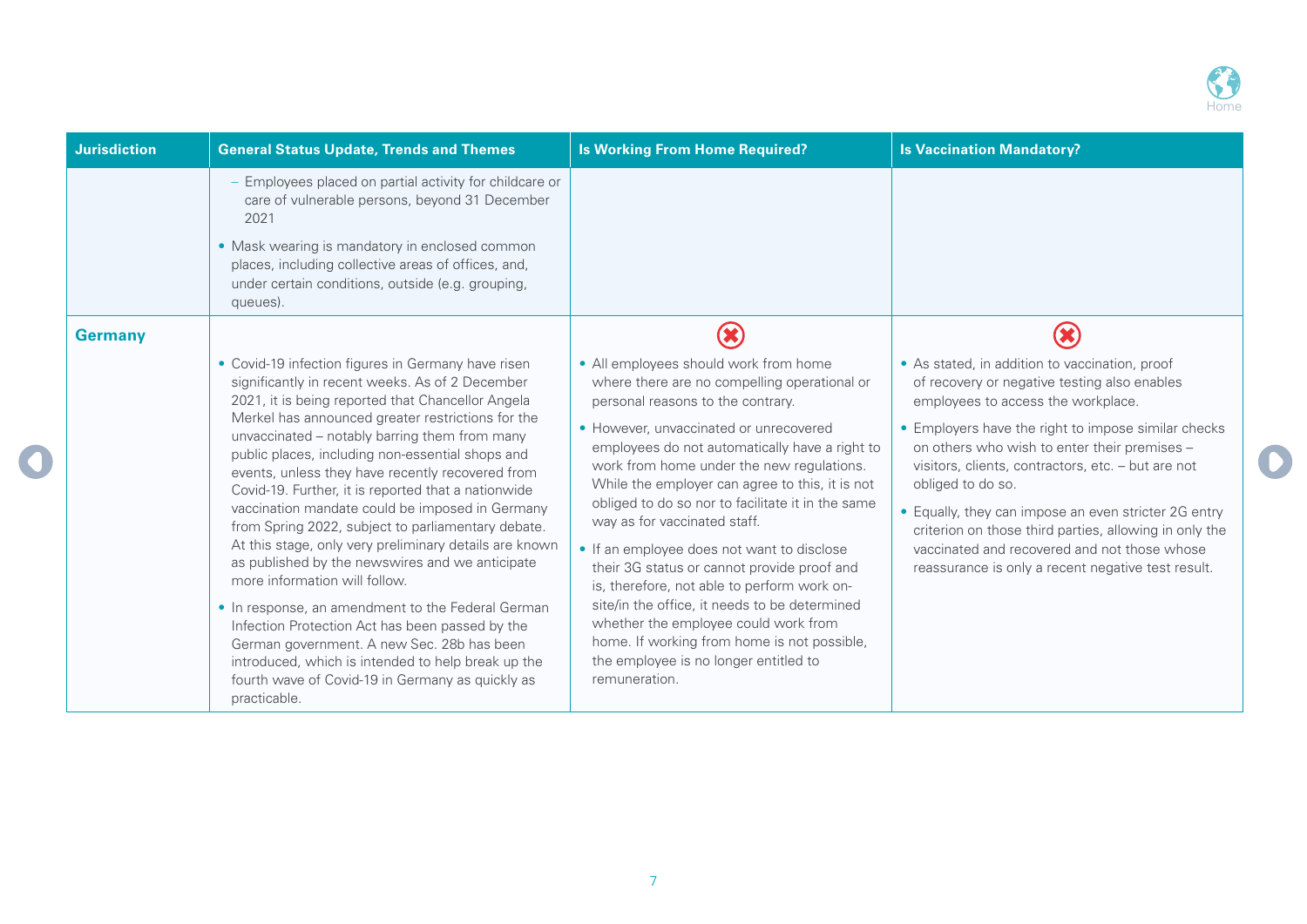

| <b>Jurisdiction</b> | <b>General Status Update, Trends and Themes</b>                                                                                                                                                                                                                                                                                                                                                                                                                                                                                                                                                                                                                                                                                                                                                                                                                                                                                                                        | <b>Is Working From Home Required?</b>                                                                                                                                                                                                                                                                                                                                                                                                                                                                                                                                                                                                                                                                                                                     | <b>Is Vaccination Mandatory?</b>                                                                                                                                                                                                                                                                                                                                                                                                                                                                                                               |
|---------------------|------------------------------------------------------------------------------------------------------------------------------------------------------------------------------------------------------------------------------------------------------------------------------------------------------------------------------------------------------------------------------------------------------------------------------------------------------------------------------------------------------------------------------------------------------------------------------------------------------------------------------------------------------------------------------------------------------------------------------------------------------------------------------------------------------------------------------------------------------------------------------------------------------------------------------------------------------------------------|-----------------------------------------------------------------------------------------------------------------------------------------------------------------------------------------------------------------------------------------------------------------------------------------------------------------------------------------------------------------------------------------------------------------------------------------------------------------------------------------------------------------------------------------------------------------------------------------------------------------------------------------------------------------------------------------------------------------------------------------------------------|------------------------------------------------------------------------------------------------------------------------------------------------------------------------------------------------------------------------------------------------------------------------------------------------------------------------------------------------------------------------------------------------------------------------------------------------------------------------------------------------------------------------------------------------|
|                     | Employees placed on partial activity for childcare or<br>care of vulnerable persons, beyond 31 December<br>2021<br>• Mask wearing is mandatory in enclosed common<br>places, including collective areas of offices, and,<br>under certain conditions, outside (e.g. grouping,<br>queues).                                                                                                                                                                                                                                                                                                                                                                                                                                                                                                                                                                                                                                                                              |                                                                                                                                                                                                                                                                                                                                                                                                                                                                                                                                                                                                                                                                                                                                                           |                                                                                                                                                                                                                                                                                                                                                                                                                                                                                                                                                |
| <b>Germany</b>      |                                                                                                                                                                                                                                                                                                                                                                                                                                                                                                                                                                                                                                                                                                                                                                                                                                                                                                                                                                        | <b>X</b>                                                                                                                                                                                                                                                                                                                                                                                                                                                                                                                                                                                                                                                                                                                                                  | $\left( \mathbf{x}\right)$                                                                                                                                                                                                                                                                                                                                                                                                                                                                                                                     |
|                     | • Covid-19 infection figures in Germany have risen<br>significantly in recent weeks. As of 2 December<br>2021, it is being reported that Chancellor Angela<br>Merkel has announced greater restrictions for the<br>unvaccinated - notably barring them from many<br>public places, including non-essential shops and<br>events, unless they have recently recovered from<br>Covid-19. Further, it is reported that a nationwide<br>vaccination mandate could be imposed in Germany<br>from Spring 2022, subject to parliamentary debate.<br>At this stage, only very preliminary details are known<br>as published by the newswires and we anticipate<br>more information will follow.<br>• In response, an amendment to the Federal German<br>Infection Protection Act has been passed by the<br>German government. A new Sec. 28b has been<br>introduced, which is intended to help break up the<br>fourth wave of Covid-19 in Germany as quickly as<br>practicable. | • All employees should work from home<br>where there are no compelling operational or<br>personal reasons to the contrary.<br>• However, unvaccinated or unrecovered<br>employees do not automatically have a right to<br>work from home under the new regulations.<br>While the employer can agree to this, it is not<br>obliged to do so nor to facilitate it in the same<br>way as for vaccinated staff.<br>• If an employee does not want to disclose<br>their 3G status or cannot provide proof and<br>is, therefore, not able to perform work on-<br>site/in the office, it needs to be determined<br>whether the employee could work from<br>home. If working from home is not possible,<br>the employee is no longer entitled to<br>remuneration. | • As stated, in addition to vaccination, proof<br>of recovery or negative testing also enables<br>employees to access the workplace.<br>• Employers have the right to impose similar checks<br>on others who wish to enter their premises -<br>visitors, clients, contractors, etc. - but are not<br>obliged to do so.<br>• Equally, they can impose an even stricter 2G entry<br>criterion on those third parties, allowing in only the<br>vaccinated and recovered and not those whose<br>reassurance is only a recent negative test result. |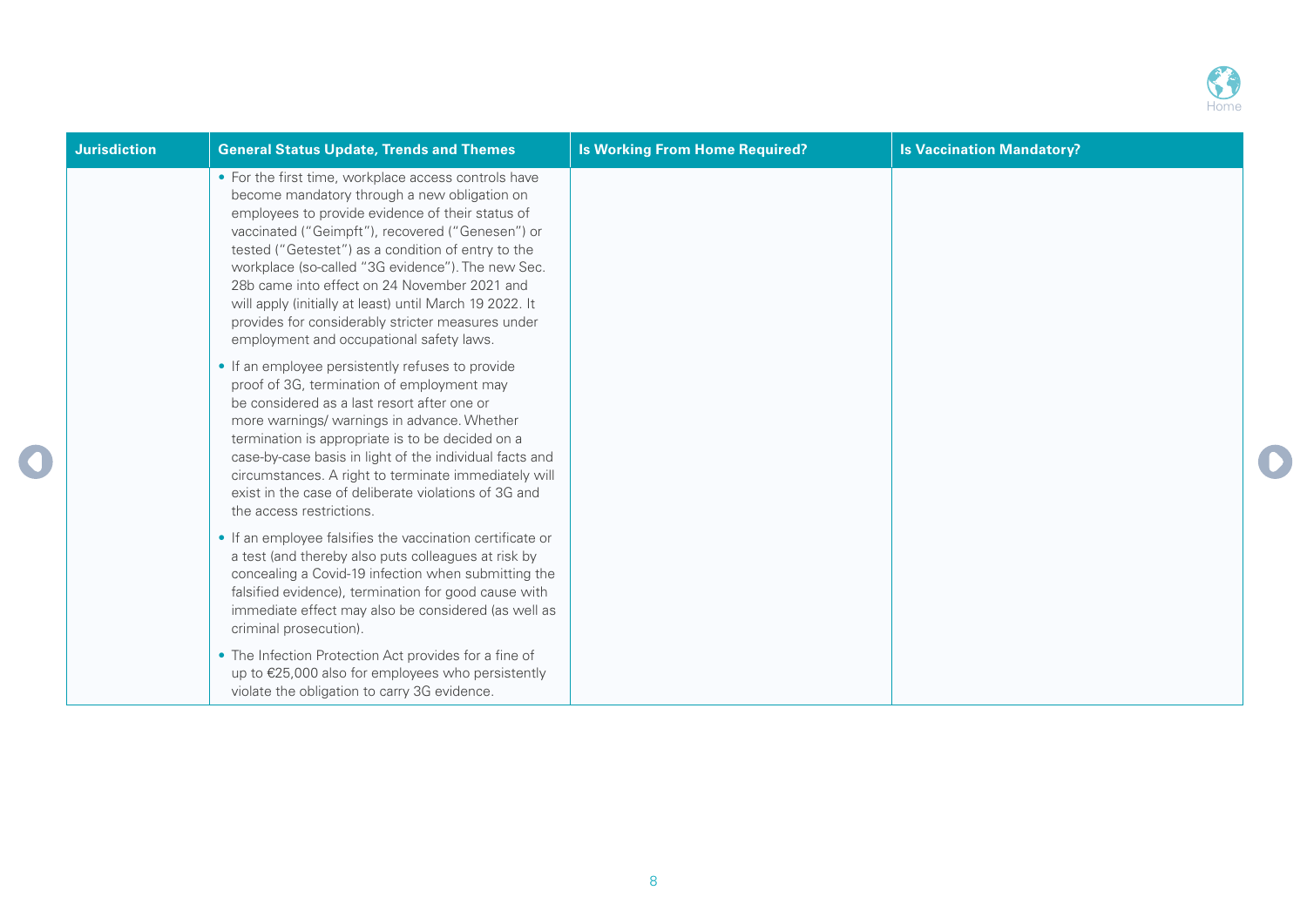

| <b>Jurisdiction</b> | <b>General Status Update, Trends and Themes</b>                                                                                                                                                                                                                                                                                                                                                                                                                                                                                     | <b>Is Working From Home Required?</b> | <b>Is Vaccination Mandatory?</b> |
|---------------------|-------------------------------------------------------------------------------------------------------------------------------------------------------------------------------------------------------------------------------------------------------------------------------------------------------------------------------------------------------------------------------------------------------------------------------------------------------------------------------------------------------------------------------------|---------------------------------------|----------------------------------|
|                     | • For the first time, workplace access controls have<br>become mandatory through a new obligation on<br>employees to provide evidence of their status of<br>vaccinated ("Geimpft"), recovered ("Genesen") or<br>tested ("Getestet") as a condition of entry to the<br>workplace (so-called "3G evidence"). The new Sec.<br>28b came into effect on 24 November 2021 and<br>will apply (initially at least) until March 19 2022. It<br>provides for considerably stricter measures under<br>employment and occupational safety laws. |                                       |                                  |
|                     | • If an employee persistently refuses to provide<br>proof of 3G, termination of employment may<br>be considered as a last resort after one or<br>more warnings/ warnings in advance. Whether<br>termination is appropriate is to be decided on a<br>case-by-case basis in light of the individual facts and<br>circumstances. A right to terminate immediately will<br>exist in the case of deliberate violations of 3G and<br>the access restrictions.                                                                             |                                       |                                  |
|                     | • If an employee falsifies the vaccination certificate or<br>a test (and thereby also puts colleagues at risk by<br>concealing a Covid-19 infection when submitting the<br>falsified evidence), termination for good cause with<br>immediate effect may also be considered (as well as<br>criminal prosecution).                                                                                                                                                                                                                    |                                       |                                  |
|                     | • The Infection Protection Act provides for a fine of<br>up to €25,000 also for employees who persistently<br>violate the obligation to carry 3G evidence.                                                                                                                                                                                                                                                                                                                                                                          |                                       |                                  |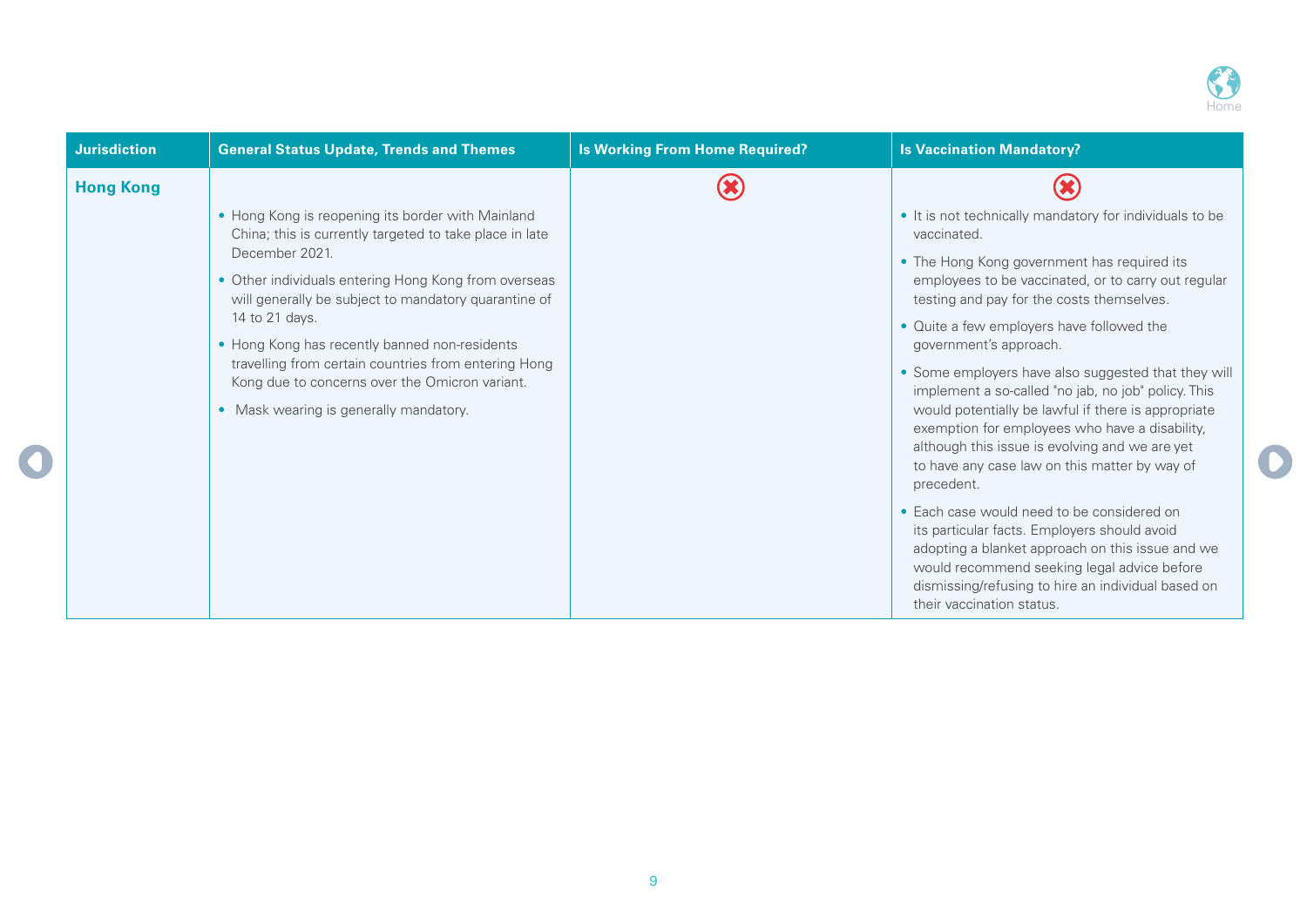

| <b>Jurisdiction</b> | <b>General Status Update, Trends and Themes</b>                                                                                | <b>Is Working From Home Required?</b> | <b>Is Vaccination Mandatory?</b>                                                                                                                                                                                                                                                 |
|---------------------|--------------------------------------------------------------------------------------------------------------------------------|---------------------------------------|----------------------------------------------------------------------------------------------------------------------------------------------------------------------------------------------------------------------------------------------------------------------------------|
| <b>Hong Kong</b>    |                                                                                                                                |                                       |                                                                                                                                                                                                                                                                                  |
|                     | • Hong Kong is reopening its border with Mainland<br>China; this is currently targeted to take place in late<br>December 2021. |                                       | • It is not technically mandatory for individuals to be<br>vaccinated.                                                                                                                                                                                                           |
|                     | • Other individuals entering Hong Kong from overseas<br>will generally be subject to mandatory quarantine of                   |                                       | • The Hong Kong government has required its<br>employees to be vaccinated, or to carry out regular<br>testing and pay for the costs themselves.                                                                                                                                  |
|                     | 14 to 21 days.<br>• Hong Kong has recently banned non-residents                                                                |                                       | • Quite a few employers have followed the<br>government's approach.                                                                                                                                                                                                              |
|                     | travelling from certain countries from entering Hong<br>Kong due to concerns over the Omicron variant.                         |                                       | • Some employers have also suggested that they will<br>implement a so-called "no jab, no job" policy. This                                                                                                                                                                       |
|                     | • Mask wearing is generally mandatory.                                                                                         |                                       | would potentially be lawful if there is appropriate<br>exemption for employees who have a disability,<br>although this issue is evolving and we are yet<br>to have any case law on this matter by way of<br>precedent.                                                           |
|                     |                                                                                                                                |                                       | • Each case would need to be considered on<br>its particular facts. Employers should avoid<br>adopting a blanket approach on this issue and we<br>would recommend seeking legal advice before<br>dismissing/refusing to hire an individual based on<br>their vaccination status. |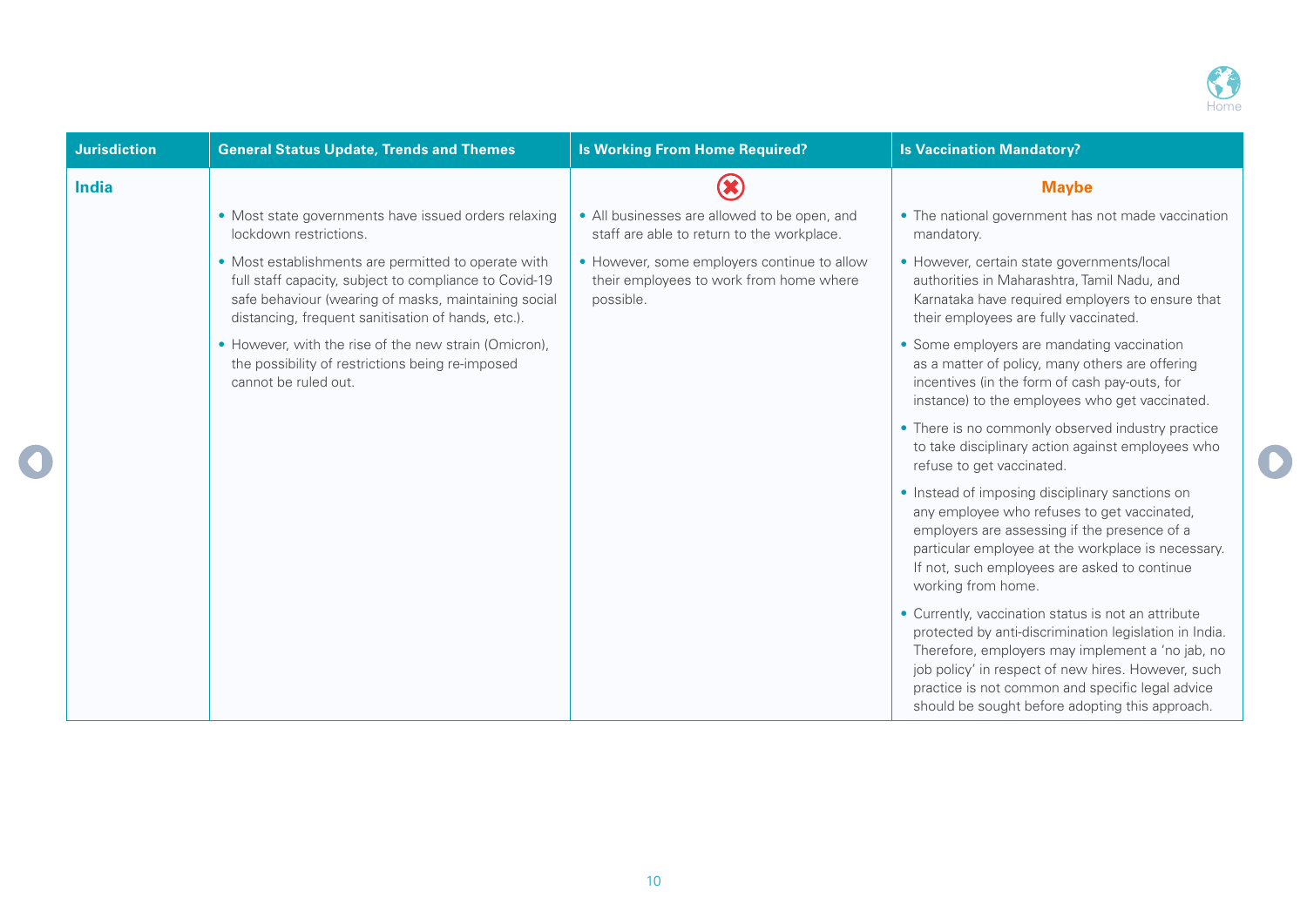

| <b>Jurisdiction</b> | <b>General Status Update, Trends and Themes</b>                                                                                                                                                                             | <b>Is Working From Home Required?</b>                                                               | <b>Is Vaccination Mandatory?</b>                                                                                                                                                                                                                                                                                               |
|---------------------|-----------------------------------------------------------------------------------------------------------------------------------------------------------------------------------------------------------------------------|-----------------------------------------------------------------------------------------------------|--------------------------------------------------------------------------------------------------------------------------------------------------------------------------------------------------------------------------------------------------------------------------------------------------------------------------------|
| <b>India</b>        |                                                                                                                                                                                                                             |                                                                                                     | <b>Maybe</b>                                                                                                                                                                                                                                                                                                                   |
|                     | • Most state governments have issued orders relaxing<br>lockdown restrictions.                                                                                                                                              | • All businesses are allowed to be open, and<br>staff are able to return to the workplace.          | • The national government has not made vaccination<br>mandatory.                                                                                                                                                                                                                                                               |
|                     | • Most establishments are permitted to operate with<br>full staff capacity, subject to compliance to Covid-19<br>safe behaviour (wearing of masks, maintaining social<br>distancing, frequent sanitisation of hands, etc.). | • However, some employers continue to allow<br>their employees to work from home where<br>possible. | • However, certain state governments/local<br>authorities in Maharashtra, Tamil Nadu, and<br>Karnataka have required employers to ensure that<br>their employees are fully vaccinated.                                                                                                                                         |
|                     | • However, with the rise of the new strain (Omicron),<br>the possibility of restrictions being re-imposed<br>cannot be ruled out.                                                                                           |                                                                                                     | • Some employers are mandating vaccination<br>as a matter of policy, many others are offering<br>incentives (in the form of cash pay-outs, for<br>instance) to the employees who get vaccinated.                                                                                                                               |
|                     |                                                                                                                                                                                                                             |                                                                                                     | • There is no commonly observed industry practice<br>to take disciplinary action against employees who<br>refuse to get vaccinated.                                                                                                                                                                                            |
|                     |                                                                                                                                                                                                                             |                                                                                                     | • Instead of imposing disciplinary sanctions on<br>any employee who refuses to get vaccinated,<br>employers are assessing if the presence of a<br>particular employee at the workplace is necessary.<br>If not, such employees are asked to continue<br>working from home.                                                     |
|                     |                                                                                                                                                                                                                             |                                                                                                     | • Currently, vaccination status is not an attribute<br>protected by anti-discrimination legislation in India.<br>Therefore, employers may implement a 'no jab, no<br>job policy' in respect of new hires. However, such<br>practice is not common and specific legal advice<br>should be sought before adopting this approach. |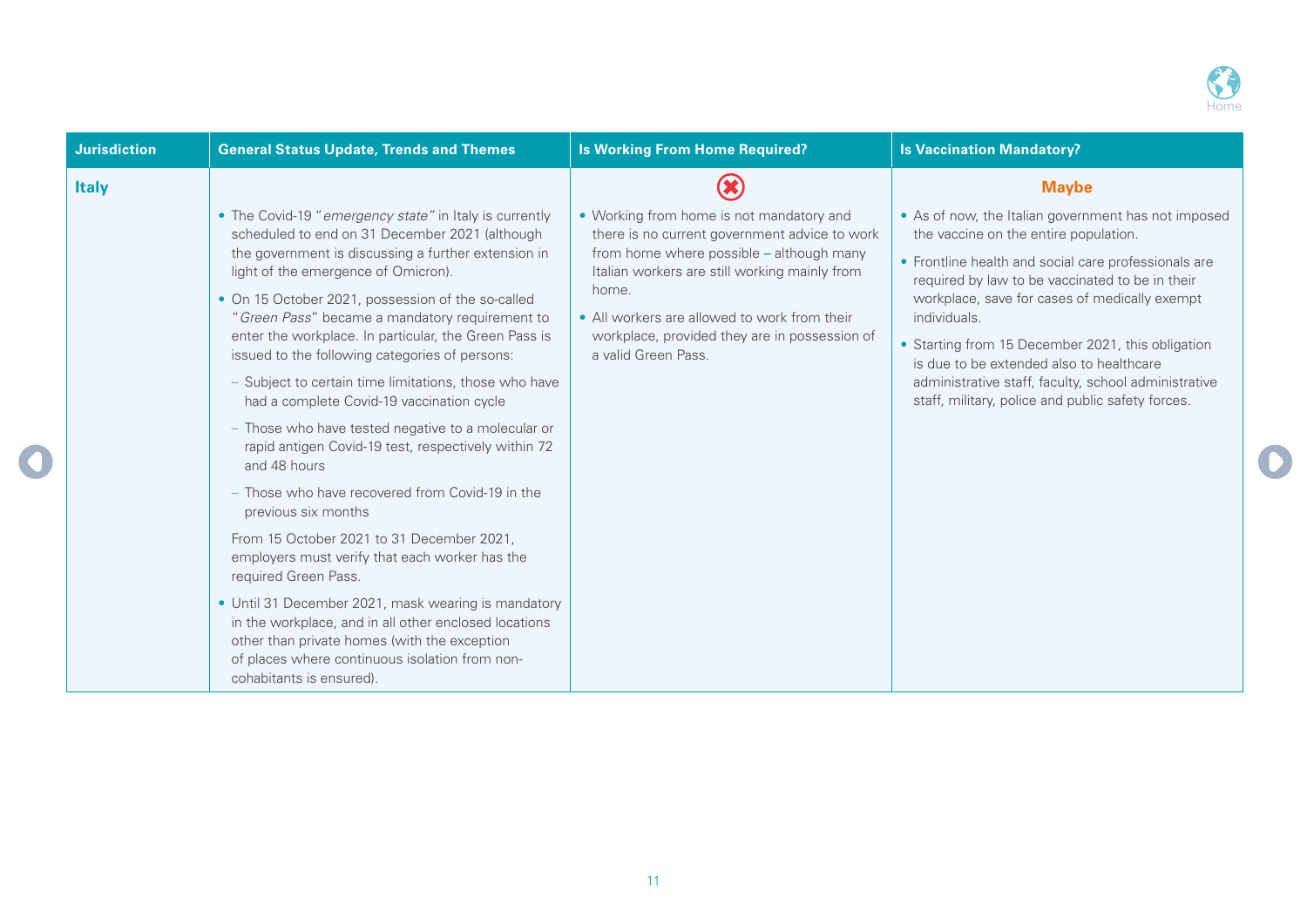

| <b>Jurisdiction</b> | <b>General Status Update, Trends and Themes</b>                                                                                                                                                                                            | <b>Is Working From Home Required?</b>                                                     | <b>Is Vaccination Mandatory?</b>                                                                          |
|---------------------|--------------------------------------------------------------------------------------------------------------------------------------------------------------------------------------------------------------------------------------------|-------------------------------------------------------------------------------------------|-----------------------------------------------------------------------------------------------------------|
| <b>Italy</b>        |                                                                                                                                                                                                                                            |                                                                                           | <b>Maybe</b>                                                                                              |
|                     | • The Covid-19 "emergency state" in Italy is currently<br>scheduled to end on 31 December 2021 (although                                                                                                                                   | • Working from home is not mandatory and<br>there is no current government advice to work | • As of now, the Italian government has not imposed<br>the vaccine on the entire population.              |
|                     | the government is discussing a further extension in<br>light of the emergence of Omicron).                                                                                                                                                 | from home where possible - although many<br>Italian workers are still working mainly from | • Frontline health and social care professionals are<br>required by law to be vaccinated to be in their   |
|                     | • On 15 October 2021, possession of the so-called<br>"Green Pass" became a mandatory requirement to                                                                                                                                        | home.<br>• All workers are allowed to work from their                                     | workplace, save for cases of medically exempt<br>individuals.                                             |
|                     | enter the workplace. In particular, the Green Pass is<br>issued to the following categories of persons:                                                                                                                                    | workplace, provided they are in possession of<br>a valid Green Pass.                      | • Starting from 15 December 2021, this obligation<br>is due to be extended also to healthcare             |
|                     | - Subject to certain time limitations, those who have<br>had a complete Covid-19 vaccination cycle                                                                                                                                         |                                                                                           | administrative staff, faculty, school administrative<br>staff, military, police and public safety forces. |
|                     | - Those who have tested negative to a molecular or<br>rapid antigen Covid-19 test, respectively within 72<br>and 48 hours                                                                                                                  |                                                                                           |                                                                                                           |
|                     | - Those who have recovered from Covid-19 in the<br>previous six months                                                                                                                                                                     |                                                                                           |                                                                                                           |
|                     | From 15 October 2021 to 31 December 2021,<br>employers must verify that each worker has the<br>required Green Pass.                                                                                                                        |                                                                                           |                                                                                                           |
|                     | • Until 31 December 2021, mask wearing is mandatory<br>in the workplace, and in all other enclosed locations<br>other than private homes (with the exception<br>of places where continuous isolation from non-<br>cohabitants is ensured). |                                                                                           |                                                                                                           |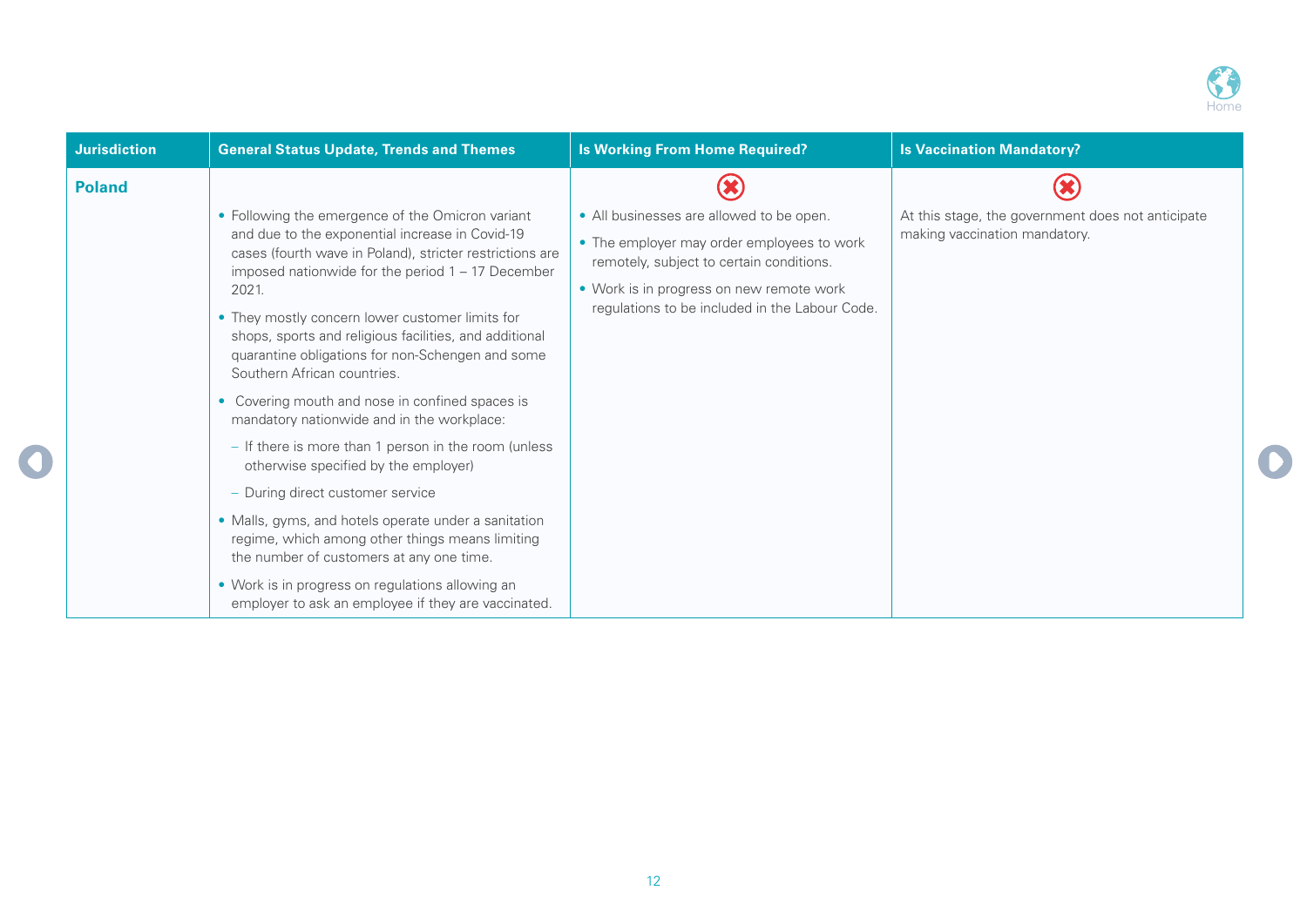

| <b>Jurisdiction</b> | <b>General Status Update, Trends and Themes</b>                                                                                                                                                                                                                                                                                              | <b>Is Working From Home Required?</b>                                                                                                                                                                                            | <b>Is Vaccination Mandatory?</b>                                                   |
|---------------------|----------------------------------------------------------------------------------------------------------------------------------------------------------------------------------------------------------------------------------------------------------------------------------------------------------------------------------------------|----------------------------------------------------------------------------------------------------------------------------------------------------------------------------------------------------------------------------------|------------------------------------------------------------------------------------|
| <b>Poland</b>       | • Following the emergence of the Omicron variant<br>and due to the exponential increase in Covid-19<br>cases (fourth wave in Poland), stricter restrictions are<br>imposed nationwide for the period $1 - 17$ December<br>2021.<br>• They mostly concern lower customer limits for<br>shops, sports and religious facilities, and additional | • All businesses are allowed to be open.<br>• The employer may order employees to work<br>remotely, subject to certain conditions.<br>• Work is in progress on new remote work<br>regulations to be included in the Labour Code. | At this stage, the government does not anticipate<br>making vaccination mandatory. |
|                     | quarantine obligations for non-Schengen and some<br>Southern African countries.<br>• Covering mouth and nose in confined spaces is<br>mandatory nationwide and in the workplace:<br>- If there is more than 1 person in the room (unless<br>otherwise specified by the employer)                                                             |                                                                                                                                                                                                                                  |                                                                                    |
|                     | - During direct customer service<br>• Malls, gyms, and hotels operate under a sanitation<br>regime, which among other things means limiting<br>the number of customers at any one time.<br>• Work is in progress on regulations allowing an<br>employer to ask an employee if they are vaccinated.                                           |                                                                                                                                                                                                                                  |                                                                                    |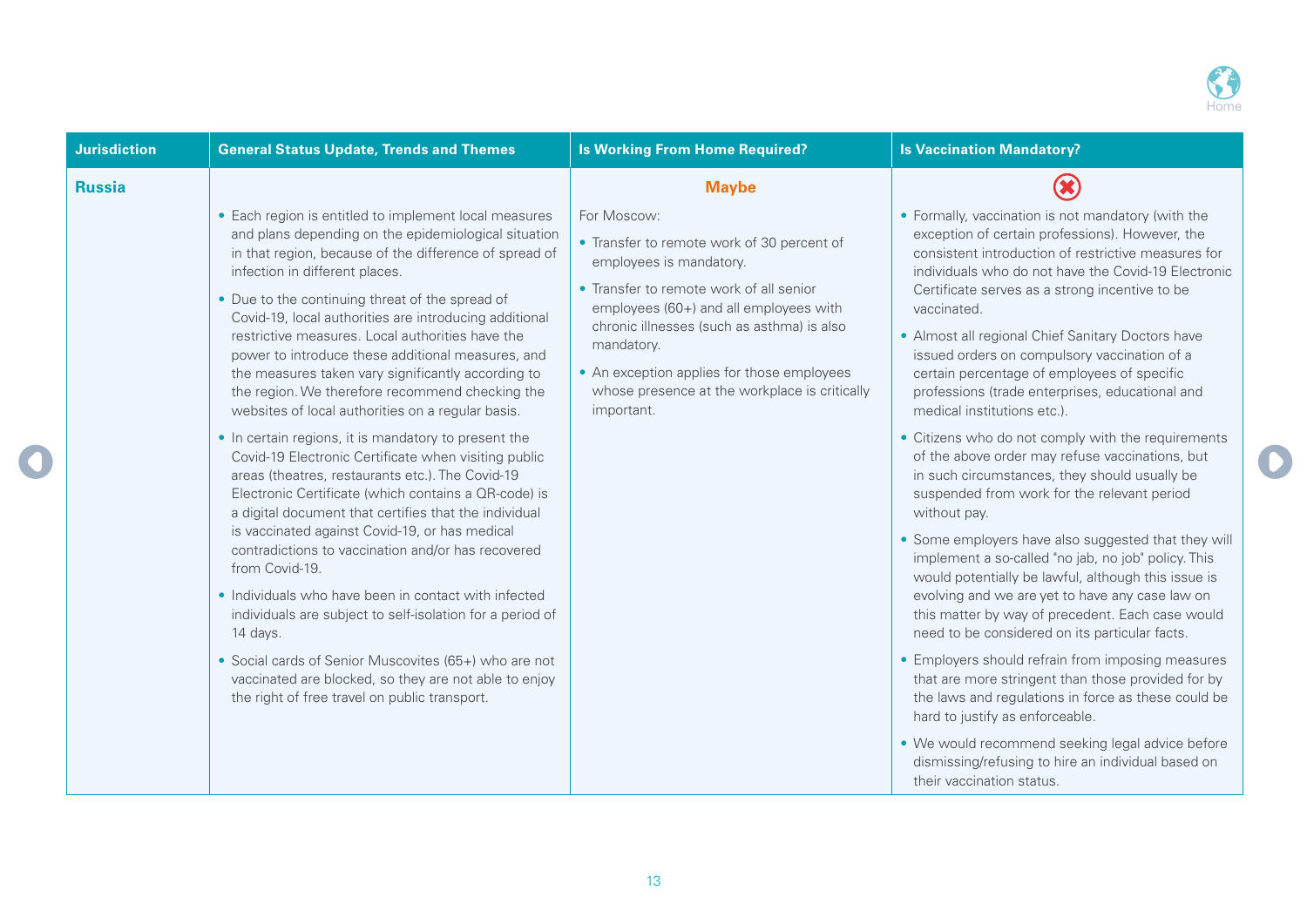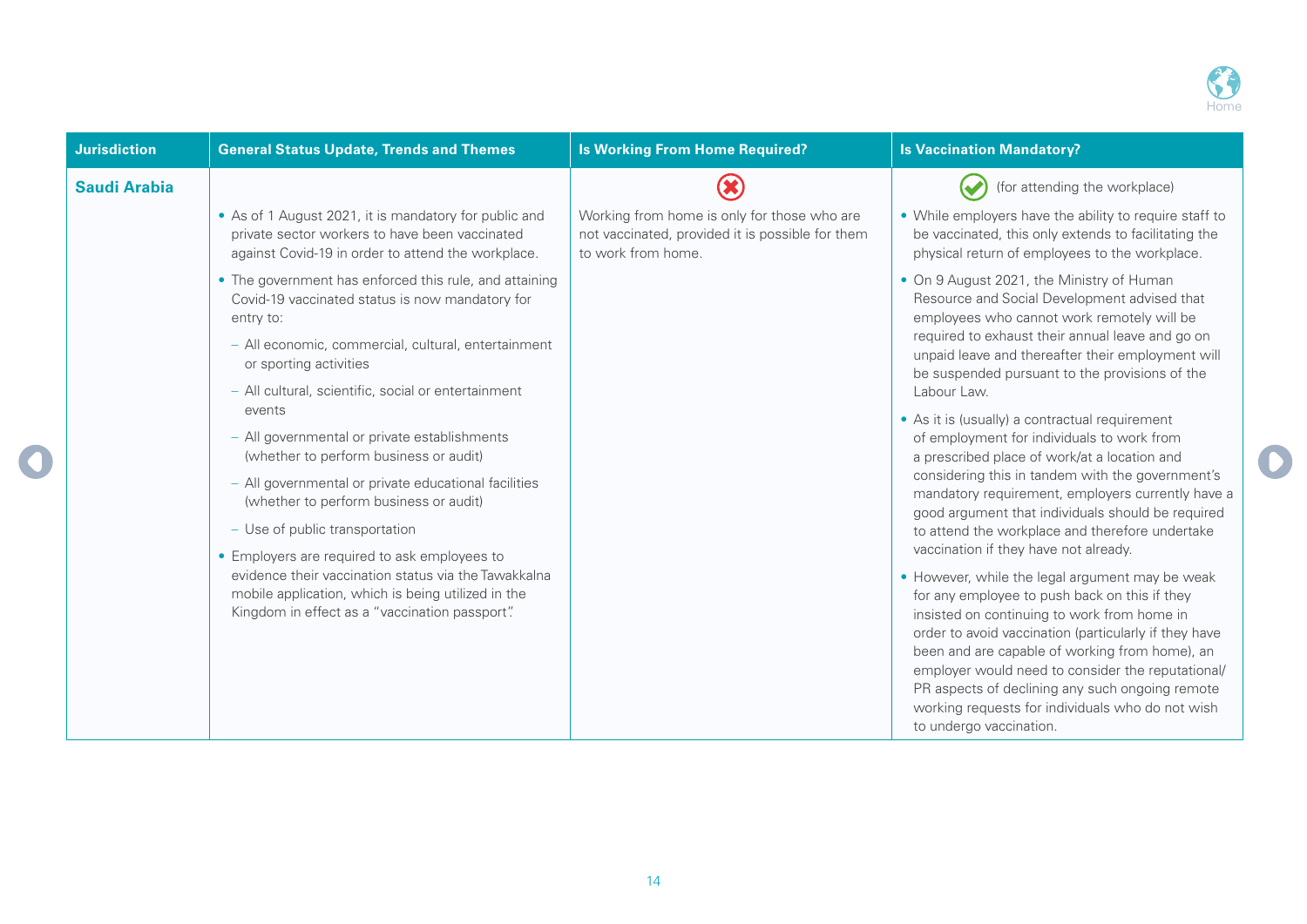

| <b>Jurisdiction</b> | <b>General Status Update, Trends and Themes</b>                                                                                                                                                              | <b>Is Working From Home Required?</b>                                                                                 | <b>Is Vaccination Mandatory?</b>                                                                                                                                                                                                                                                                                                                                                                                                                  |
|---------------------|--------------------------------------------------------------------------------------------------------------------------------------------------------------------------------------------------------------|-----------------------------------------------------------------------------------------------------------------------|---------------------------------------------------------------------------------------------------------------------------------------------------------------------------------------------------------------------------------------------------------------------------------------------------------------------------------------------------------------------------------------------------------------------------------------------------|
| <b>Saudi Arabia</b> |                                                                                                                                                                                                              |                                                                                                                       | (for attending the workplace)                                                                                                                                                                                                                                                                                                                                                                                                                     |
|                     | • As of 1 August 2021, it is mandatory for public and<br>private sector workers to have been vaccinated<br>against Covid-19 in order to attend the workplace.                                                | Working from home is only for those who are<br>not vaccinated, provided it is possible for them<br>to work from home. | • While employers have the ability to require staff to<br>be vaccinated, this only extends to facilitating the<br>physical return of employees to the workplace.                                                                                                                                                                                                                                                                                  |
|                     | • The government has enforced this rule, and attaining<br>Covid-19 vaccinated status is now mandatory for<br>entry to:                                                                                       |                                                                                                                       | • On 9 August 2021, the Ministry of Human<br>Resource and Social Development advised that<br>employees who cannot work remotely will be                                                                                                                                                                                                                                                                                                           |
|                     | - All economic, commercial, cultural, entertainment<br>or sporting activities                                                                                                                                |                                                                                                                       | required to exhaust their annual leave and go on<br>unpaid leave and thereafter their employment will<br>be suspended pursuant to the provisions of the                                                                                                                                                                                                                                                                                           |
|                     | - All cultural, scientific, social or entertainment<br>events                                                                                                                                                |                                                                                                                       | Labour Law.<br>• As it is (usually) a contractual requirement                                                                                                                                                                                                                                                                                                                                                                                     |
|                     | - All governmental or private establishments<br>(whether to perform business or audit)                                                                                                                       |                                                                                                                       | of employment for individuals to work from<br>a prescribed place of work/at a location and                                                                                                                                                                                                                                                                                                                                                        |
|                     | - All governmental or private educational facilities<br>(whether to perform business or audit)                                                                                                               |                                                                                                                       | considering this in tandem with the government's<br>mandatory requirement, employers currently have a<br>good argument that individuals should be required                                                                                                                                                                                                                                                                                        |
|                     | - Use of public transportation                                                                                                                                                                               |                                                                                                                       | to attend the workplace and therefore undertake<br>vaccination if they have not already.                                                                                                                                                                                                                                                                                                                                                          |
|                     | • Employers are required to ask employees to<br>evidence their vaccination status via the Tawakkalna<br>mobile application, which is being utilized in the<br>Kingdom in effect as a "vaccination passport". |                                                                                                                       | • However, while the legal argument may be weak<br>for any employee to push back on this if they<br>insisted on continuing to work from home in<br>order to avoid vaccination (particularly if they have<br>been and are capable of working from home), an<br>employer would need to consider the reputational/<br>PR aspects of declining any such ongoing remote<br>working requests for individuals who do not wish<br>to undergo vaccination. |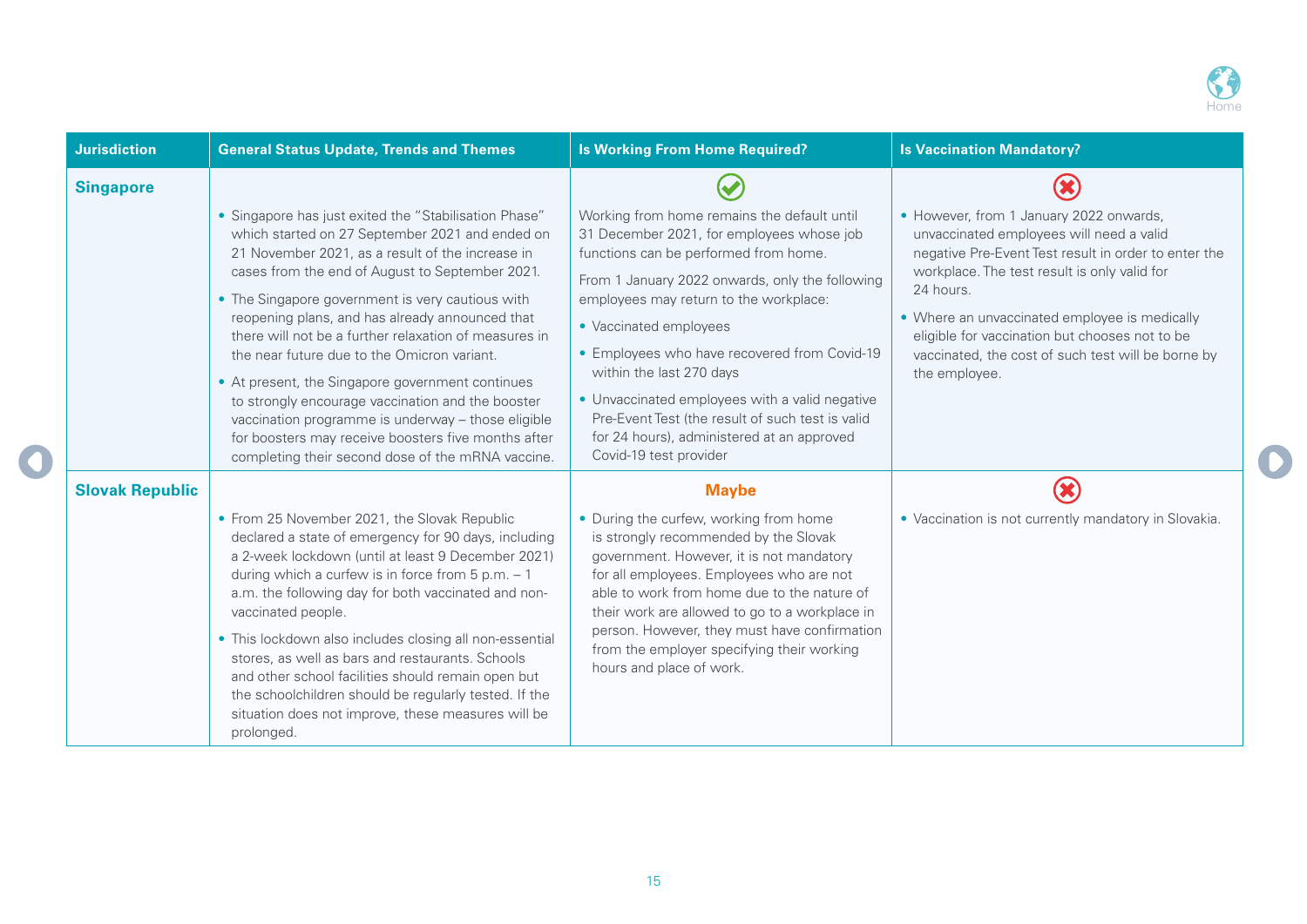

| <b>Jurisdiction</b>    | <b>General Status Update, Trends and Themes</b>                                                                                                                                                                                                                                                                                                                                                                                                                                                                                                                                                                                                                                                           | <b>Is Working From Home Required?</b>                                                                                                                                                                                                                                                                                                                                                                                                                                                                              | <b>Is Vaccination Mandatory?</b>                                                                                                                                                                                                                                                                                                                                                   |
|------------------------|-----------------------------------------------------------------------------------------------------------------------------------------------------------------------------------------------------------------------------------------------------------------------------------------------------------------------------------------------------------------------------------------------------------------------------------------------------------------------------------------------------------------------------------------------------------------------------------------------------------------------------------------------------------------------------------------------------------|--------------------------------------------------------------------------------------------------------------------------------------------------------------------------------------------------------------------------------------------------------------------------------------------------------------------------------------------------------------------------------------------------------------------------------------------------------------------------------------------------------------------|------------------------------------------------------------------------------------------------------------------------------------------------------------------------------------------------------------------------------------------------------------------------------------------------------------------------------------------------------------------------------------|
| <b>Singapore</b>       | • Singapore has just exited the "Stabilisation Phase"<br>which started on 27 September 2021 and ended on<br>21 November 2021, as a result of the increase in<br>cases from the end of August to September 2021.<br>• The Singapore government is very cautious with<br>reopening plans, and has already announced that<br>there will not be a further relaxation of measures in<br>the near future due to the Omicron variant.<br>• At present, the Singapore government continues<br>to strongly encourage vaccination and the booster<br>vaccination programme is underway - those eligible<br>for boosters may receive boosters five months after<br>completing their second dose of the mRNA vaccine. | Working from home remains the default until<br>31 December 2021, for employees whose job<br>functions can be performed from home.<br>From 1 January 2022 onwards, only the following<br>employees may return to the workplace:<br>• Vaccinated employees<br>• Employees who have recovered from Covid-19<br>within the last 270 days<br>• Unvaccinated employees with a valid negative<br>Pre-Event Test (the result of such test is valid<br>for 24 hours), administered at an approved<br>Covid-19 test provider | • However, from 1 January 2022 onwards,<br>unvaccinated employees will need a valid<br>negative Pre-Event Test result in order to enter the<br>workplace. The test result is only valid for<br>24 hours.<br>• Where an unvaccinated employee is medically<br>eligible for vaccination but chooses not to be<br>vaccinated, the cost of such test will be borne by<br>the employee. |
| <b>Slovak Republic</b> | • From 25 November 2021, the Slovak Republic<br>declared a state of emergency for 90 days, including<br>a 2-week lockdown (until at least 9 December 2021)<br>during which a curfew is in force from $5 p.m. - 1$<br>a.m. the following day for both vaccinated and non-<br>vaccinated people.<br>• This lockdown also includes closing all non-essential<br>stores, as well as bars and restaurants. Schools<br>and other school facilities should remain open but<br>the schoolchildren should be regularly tested. If the<br>situation does not improve, these measures will be<br>prolonged.                                                                                                          | <b>Maybe</b><br>• During the curfew, working from home<br>is strongly recommended by the Slovak<br>government. However, it is not mandatory<br>for all employees. Employees who are not<br>able to work from home due to the nature of<br>their work are allowed to go to a workplace in<br>person. However, they must have confirmation<br>from the employer specifying their working<br>hours and place of work.                                                                                                 | • Vaccination is not currently mandatory in Slovakia.                                                                                                                                                                                                                                                                                                                              |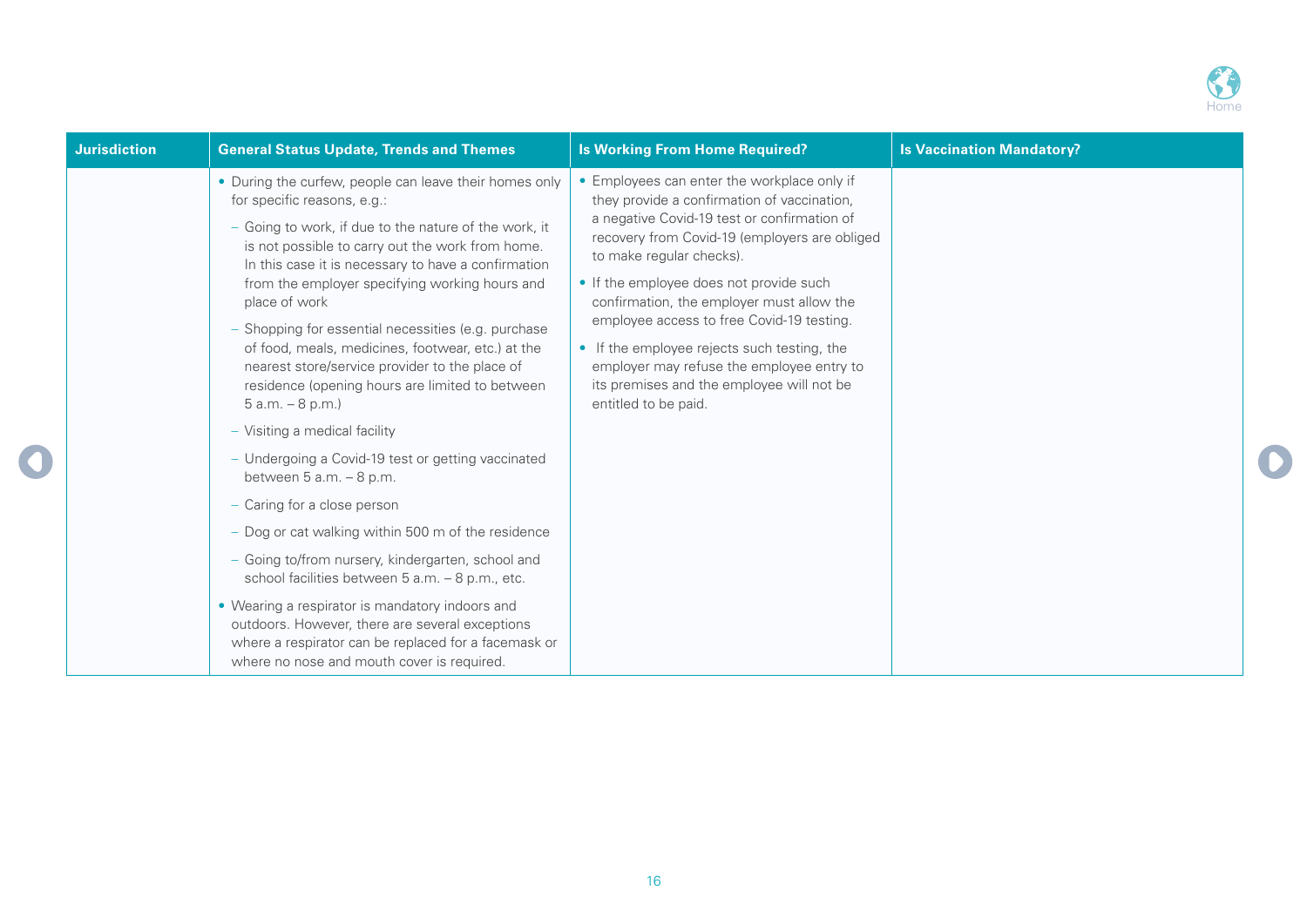

| <b>Jurisdiction</b> | <b>General Status Update, Trends and Themes</b>                                                                                                                                                                                                                                                                                                                                                                                                                                                                                                                                                                                                                                                                                                                                                                                                                                                                                                                                                                                                                                                  | <b>Is Working From Home Required?</b>                                                                                                                                                                                                                                                                                                                                                                                                                                                                                        | <b>Is Vaccination Mandatory?</b> |
|---------------------|--------------------------------------------------------------------------------------------------------------------------------------------------------------------------------------------------------------------------------------------------------------------------------------------------------------------------------------------------------------------------------------------------------------------------------------------------------------------------------------------------------------------------------------------------------------------------------------------------------------------------------------------------------------------------------------------------------------------------------------------------------------------------------------------------------------------------------------------------------------------------------------------------------------------------------------------------------------------------------------------------------------------------------------------------------------------------------------------------|------------------------------------------------------------------------------------------------------------------------------------------------------------------------------------------------------------------------------------------------------------------------------------------------------------------------------------------------------------------------------------------------------------------------------------------------------------------------------------------------------------------------------|----------------------------------|
|                     | • During the curfew, people can leave their homes only<br>for specific reasons, e.g.:<br>- Going to work, if due to the nature of the work, it<br>is not possible to carry out the work from home.<br>In this case it is necessary to have a confirmation<br>from the employer specifying working hours and<br>place of work<br>- Shopping for essential necessities (e.g. purchase<br>of food, meals, medicines, footwear, etc.) at the<br>nearest store/service provider to the place of<br>residence (opening hours are limited to between<br>$5 a.m. - 8 p.m.$<br>- Visiting a medical facility<br>- Undergoing a Covid-19 test or getting vaccinated<br>between $5$ a.m. $-8$ p.m.<br>- Caring for a close person<br>- Dog or cat walking within 500 m of the residence<br>- Going to/from nursery, kindergarten, school and<br>school facilities between 5 a.m. - 8 p.m., etc.<br>• Wearing a respirator is mandatory indoors and<br>outdoors. However, there are several exceptions<br>where a respirator can be replaced for a facemask or<br>where no nose and mouth cover is required. | • Employees can enter the workplace only if<br>they provide a confirmation of vaccination,<br>a negative Covid-19 test or confirmation of<br>recovery from Covid-19 (employers are obliged<br>to make regular checks).<br>• If the employee does not provide such<br>confirmation, the employer must allow the<br>employee access to free Covid-19 testing.<br>• If the employee rejects such testing, the<br>employer may refuse the employee entry to<br>its premises and the employee will not be<br>entitled to be paid. |                                  |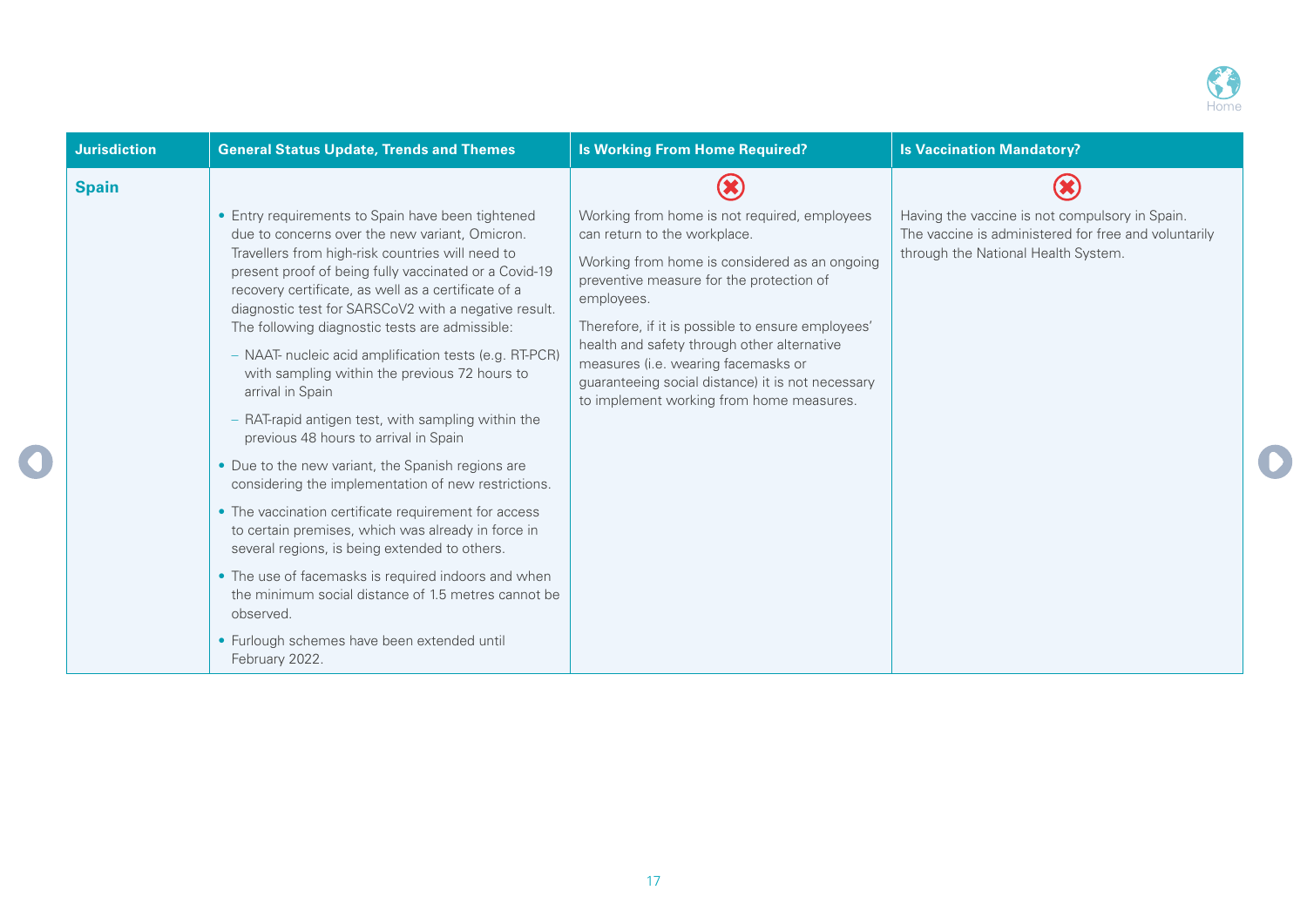

| <b>Jurisdiction</b> | <b>General Status Update, Trends and Themes</b>                                                                                                                                                                                                                                                                                                                                                                                                                                                                                                                                                                                                                                                                                                                                                                                                                                                                                                                                                                                                                                        | <b>Is Working From Home Required?</b>                                                                                                                                                                                                                                                                                                                                                                                               | <b>Is Vaccination Mandatory?</b>                                                                                                              |
|---------------------|----------------------------------------------------------------------------------------------------------------------------------------------------------------------------------------------------------------------------------------------------------------------------------------------------------------------------------------------------------------------------------------------------------------------------------------------------------------------------------------------------------------------------------------------------------------------------------------------------------------------------------------------------------------------------------------------------------------------------------------------------------------------------------------------------------------------------------------------------------------------------------------------------------------------------------------------------------------------------------------------------------------------------------------------------------------------------------------|-------------------------------------------------------------------------------------------------------------------------------------------------------------------------------------------------------------------------------------------------------------------------------------------------------------------------------------------------------------------------------------------------------------------------------------|-----------------------------------------------------------------------------------------------------------------------------------------------|
| <b>Spain</b>        |                                                                                                                                                                                                                                                                                                                                                                                                                                                                                                                                                                                                                                                                                                                                                                                                                                                                                                                                                                                                                                                                                        |                                                                                                                                                                                                                                                                                                                                                                                                                                     |                                                                                                                                               |
|                     | • Entry requirements to Spain have been tightened<br>due to concerns over the new variant, Omicron.<br>Travellers from high-risk countries will need to<br>present proof of being fully vaccinated or a Covid-19<br>recovery certificate, as well as a certificate of a<br>diagnostic test for SARSCoV2 with a negative result.<br>The following diagnostic tests are admissible:<br>- NAAT- nucleic acid amplification tests (e.g. RT-PCR)<br>with sampling within the previous 72 hours to<br>arrival in Spain<br>- RAT-rapid antigen test, with sampling within the<br>previous 48 hours to arrival in Spain<br>• Due to the new variant, the Spanish regions are<br>considering the implementation of new restrictions.<br>• The vaccination certificate requirement for access<br>to certain premises, which was already in force in<br>several regions, is being extended to others.<br>• The use of facemasks is required indoors and when<br>the minimum social distance of 1.5 metres cannot be<br>observed.<br>• Furlough schemes have been extended until<br>February 2022. | Working from home is not required, employees<br>can return to the workplace.<br>Working from home is considered as an ongoing<br>preventive measure for the protection of<br>employees.<br>Therefore, if it is possible to ensure employees'<br>health and safety through other alternative<br>measures (i.e. wearing facemasks or<br>guaranteeing social distance) it is not necessary<br>to implement working from home measures. | Having the vaccine is not compulsory in Spain.<br>The vaccine is administered for free and voluntarily<br>through the National Health System. |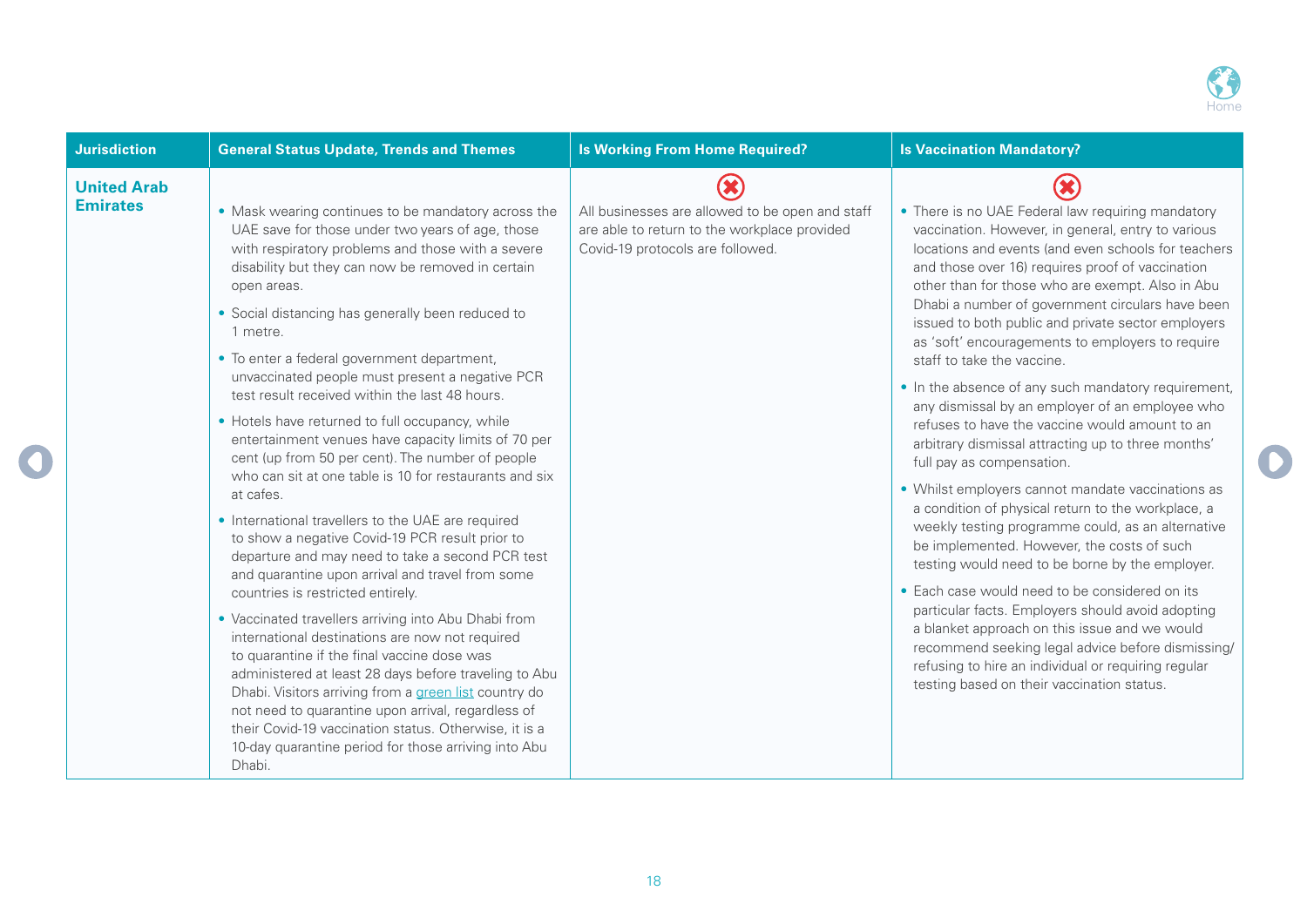

| <b>Jurisdiction</b>                   | <b>General Status Update, Trends and Themes</b>                                                                                                                                                                                                                                                                                                                                                                                                                                                                                                                                                                                                                                                                                                                                                                                                                                                                                                                                                                                                                                                                                                                                                                                                                                                                                                                                                               | <b>Is Working From Home Required?</b>                                                                                               | <b>Is Vaccination Mandatory?</b>                                                                                                                                                                                                                                                                                                                                                                                                                                                                                                                                                                                                                                                                                                                                                                                                                                                                                                                                                                                                                                                                                                                                                                                                                                                                     |
|---------------------------------------|---------------------------------------------------------------------------------------------------------------------------------------------------------------------------------------------------------------------------------------------------------------------------------------------------------------------------------------------------------------------------------------------------------------------------------------------------------------------------------------------------------------------------------------------------------------------------------------------------------------------------------------------------------------------------------------------------------------------------------------------------------------------------------------------------------------------------------------------------------------------------------------------------------------------------------------------------------------------------------------------------------------------------------------------------------------------------------------------------------------------------------------------------------------------------------------------------------------------------------------------------------------------------------------------------------------------------------------------------------------------------------------------------------------|-------------------------------------------------------------------------------------------------------------------------------------|------------------------------------------------------------------------------------------------------------------------------------------------------------------------------------------------------------------------------------------------------------------------------------------------------------------------------------------------------------------------------------------------------------------------------------------------------------------------------------------------------------------------------------------------------------------------------------------------------------------------------------------------------------------------------------------------------------------------------------------------------------------------------------------------------------------------------------------------------------------------------------------------------------------------------------------------------------------------------------------------------------------------------------------------------------------------------------------------------------------------------------------------------------------------------------------------------------------------------------------------------------------------------------------------------|
| <b>United Arab</b><br><b>Emirates</b> | • Mask wearing continues to be mandatory across the<br>UAE save for those under two years of age, those<br>with respiratory problems and those with a severe<br>disability but they can now be removed in certain<br>open areas.<br>• Social distancing has generally been reduced to<br>1 metre.<br>• To enter a federal government department,<br>unvaccinated people must present a negative PCR<br>test result received within the last 48 hours.<br>• Hotels have returned to full occupancy, while<br>entertainment venues have capacity limits of 70 per<br>cent (up from 50 per cent). The number of people<br>who can sit at one table is 10 for restaurants and six<br>at cafes.<br>• International travellers to the UAE are required<br>to show a negative Covid-19 PCR result prior to<br>departure and may need to take a second PCR test<br>and quarantine upon arrival and travel from some<br>countries is restricted entirely.<br>• Vaccinated travellers arriving into Abu Dhabi from<br>international destinations are now not required<br>to quarantine if the final vaccine dose was<br>administered at least 28 days before traveling to Abu<br>Dhabi. Visitors arriving from a green list country do<br>not need to quarantine upon arrival, regardless of<br>their Covid-19 vaccination status. Otherwise, it is a<br>10-day quarantine period for those arriving into Abu<br>Dhabi. | All businesses are allowed to be open and staff<br>are able to return to the workplace provided<br>Covid-19 protocols are followed. | • There is no UAE Federal law requiring mandatory<br>vaccination. However, in general, entry to various<br>locations and events (and even schools for teachers<br>and those over 16) requires proof of vaccination<br>other than for those who are exempt. Also in Abu<br>Dhabi a number of government circulars have been<br>issued to both public and private sector employers<br>as 'soft' encouragements to employers to require<br>staff to take the vaccine.<br>. In the absence of any such mandatory requirement,<br>any dismissal by an employer of an employee who<br>refuses to have the vaccine would amount to an<br>arbitrary dismissal attracting up to three months'<br>full pay as compensation.<br>• Whilst employers cannot mandate vaccinations as<br>a condition of physical return to the workplace, a<br>weekly testing programme could, as an alternative<br>be implemented. However, the costs of such<br>testing would need to be borne by the employer.<br>• Each case would need to be considered on its<br>particular facts. Employers should avoid adopting<br>a blanket approach on this issue and we would<br>recommend seeking legal advice before dismissing/<br>refusing to hire an individual or requiring regular<br>testing based on their vaccination status. |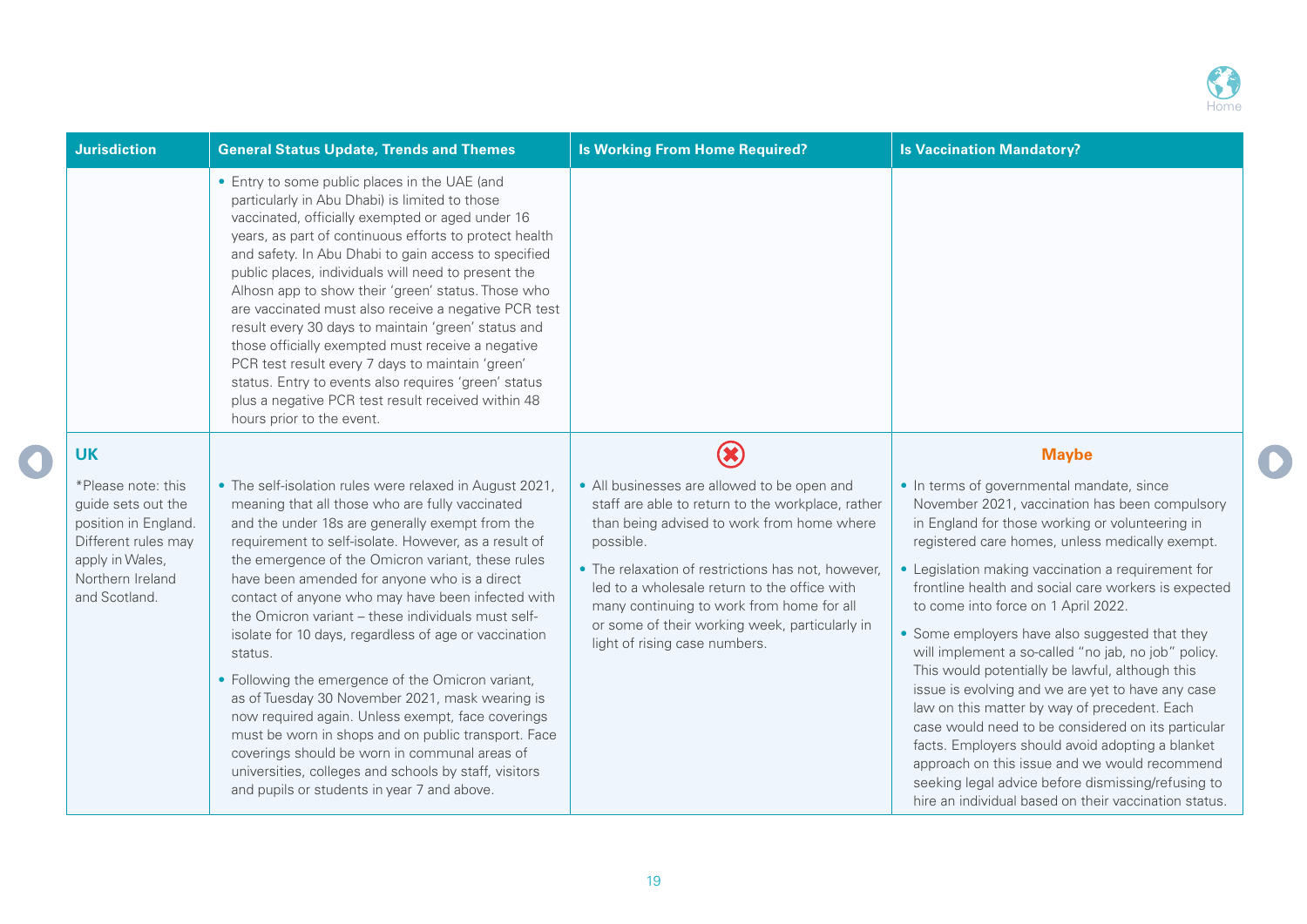

| <b>Jurisdiction</b>                                                                                                                             | <b>General Status Update, Trends and Themes</b>                                                                                                                                                                                                                                                                                                                                                                                                                                                                                                                                                                                                                                                                                                                                                                                                                                        | <b>Is Working From Home Required?</b>                                                                                                                                                                                                                                                                                                                                                             | <b>Is Vaccination Mandatory?</b>                                                                                                                                                                                                                                                                                                                                                                                                                                                                                                                                                                                                                                                                                                                                                                                                                                                                  |
|-------------------------------------------------------------------------------------------------------------------------------------------------|----------------------------------------------------------------------------------------------------------------------------------------------------------------------------------------------------------------------------------------------------------------------------------------------------------------------------------------------------------------------------------------------------------------------------------------------------------------------------------------------------------------------------------------------------------------------------------------------------------------------------------------------------------------------------------------------------------------------------------------------------------------------------------------------------------------------------------------------------------------------------------------|---------------------------------------------------------------------------------------------------------------------------------------------------------------------------------------------------------------------------------------------------------------------------------------------------------------------------------------------------------------------------------------------------|---------------------------------------------------------------------------------------------------------------------------------------------------------------------------------------------------------------------------------------------------------------------------------------------------------------------------------------------------------------------------------------------------------------------------------------------------------------------------------------------------------------------------------------------------------------------------------------------------------------------------------------------------------------------------------------------------------------------------------------------------------------------------------------------------------------------------------------------------------------------------------------------------|
|                                                                                                                                                 | • Entry to some public places in the UAE (and<br>particularly in Abu Dhabi) is limited to those<br>vaccinated, officially exempted or aged under 16<br>years, as part of continuous efforts to protect health<br>and safety. In Abu Dhabi to gain access to specified<br>public places, individuals will need to present the<br>Alhosn app to show their 'green' status. Those who<br>are vaccinated must also receive a negative PCR test<br>result every 30 days to maintain 'green' status and<br>those officially exempted must receive a negative<br>PCR test result every 7 days to maintain 'green'<br>status. Entry to events also requires 'green' status<br>plus a negative PCR test result received within 48<br>hours prior to the event.                                                                                                                                  |                                                                                                                                                                                                                                                                                                                                                                                                   |                                                                                                                                                                                                                                                                                                                                                                                                                                                                                                                                                                                                                                                                                                                                                                                                                                                                                                   |
| <b>UK</b>                                                                                                                                       |                                                                                                                                                                                                                                                                                                                                                                                                                                                                                                                                                                                                                                                                                                                                                                                                                                                                                        | $\circledast$                                                                                                                                                                                                                                                                                                                                                                                     | <b>Maybe</b>                                                                                                                                                                                                                                                                                                                                                                                                                                                                                                                                                                                                                                                                                                                                                                                                                                                                                      |
| *Please note: this<br>guide sets out the<br>position in England.<br>Different rules may<br>apply in Wales,<br>Northern Ireland<br>and Scotland. | • The self-isolation rules were relaxed in August 2021,<br>meaning that all those who are fully vaccinated<br>and the under 18s are generally exempt from the<br>requirement to self-isolate. However, as a result of<br>the emergence of the Omicron variant, these rules<br>have been amended for anyone who is a direct<br>contact of anyone who may have been infected with<br>the Omicron variant - these individuals must self-<br>isolate for 10 days, regardless of age or vaccination<br>status.<br>• Following the emergence of the Omicron variant,<br>as of Tuesday 30 November 2021, mask wearing is<br>now required again. Unless exempt, face coverings<br>must be worn in shops and on public transport. Face<br>coverings should be worn in communal areas of<br>universities, colleges and schools by staff, visitors<br>and pupils or students in year 7 and above. | • All businesses are allowed to be open and<br>staff are able to return to the workplace, rather<br>than being advised to work from home where<br>possible.<br>• The relaxation of restrictions has not, however,<br>led to a wholesale return to the office with<br>many continuing to work from home for all<br>or some of their working week, particularly in<br>light of rising case numbers. | • In terms of governmental mandate, since<br>November 2021, vaccination has been compulsory<br>in England for those working or volunteering in<br>registered care homes, unless medically exempt.<br>• Legislation making vaccination a requirement for<br>frontline health and social care workers is expected<br>to come into force on 1 April 2022.<br>• Some employers have also suggested that they<br>will implement a so-called "no jab, no job" policy.<br>This would potentially be lawful, although this<br>issue is evolving and we are yet to have any case<br>law on this matter by way of precedent. Each<br>case would need to be considered on its particular<br>facts. Employers should avoid adopting a blanket<br>approach on this issue and we would recommend<br>seeking legal advice before dismissing/refusing to<br>hire an individual based on their vaccination status. |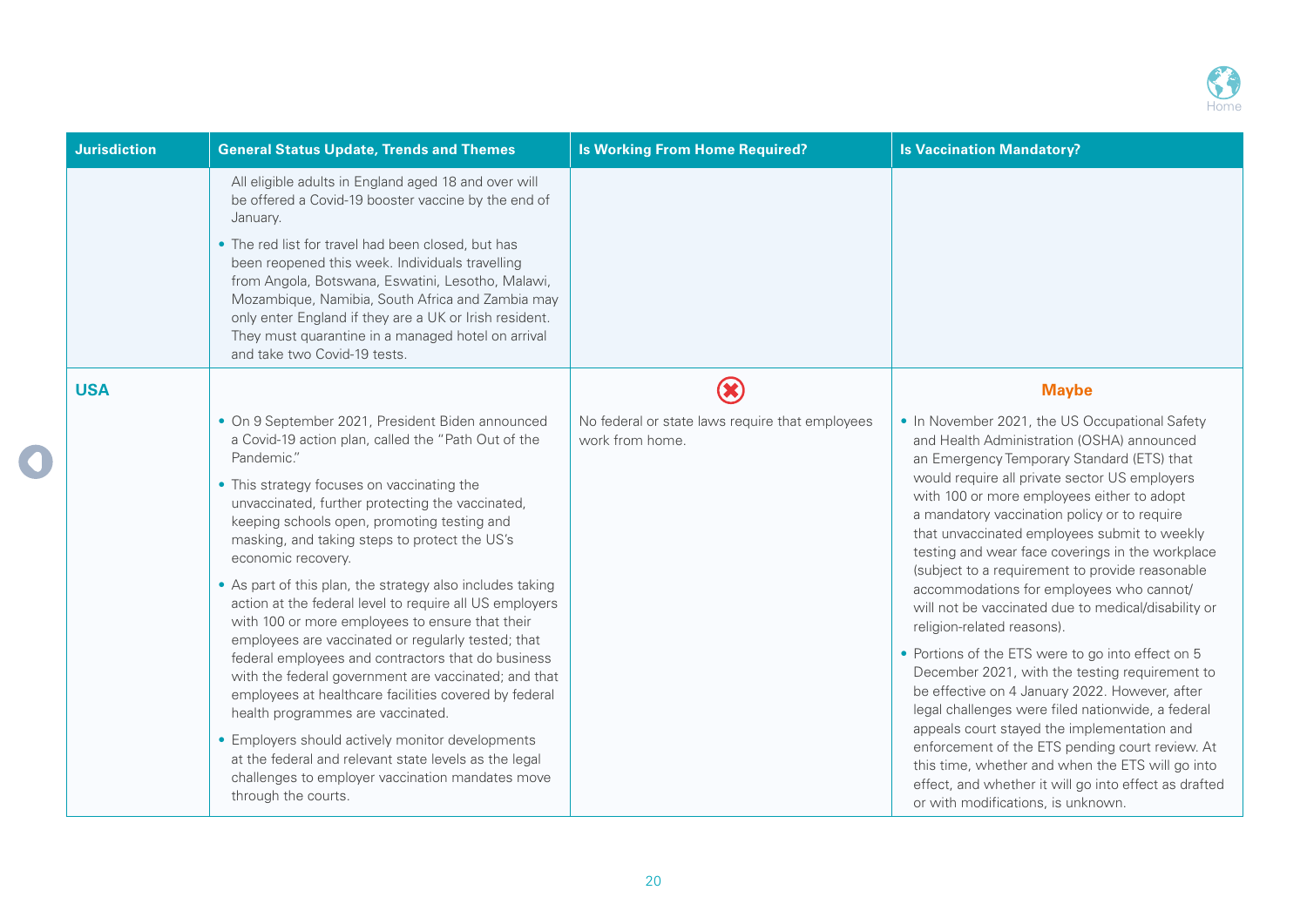

| <b>Jurisdiction</b> | <b>General Status Update, Trends and Themes</b>                                                                                                                                                                                                                                                                                                                                                                                                                                                                                                                                                                                                                                                                                                                                                                                                                                                                                                                                    | <b>Is Working From Home Required?</b>                              | <b>Is Vaccination Mandatory?</b>                                                                                                                                                                                                                                                                                                                                                                                                                                                                                                                                                                                                                                                                                                                                                                                                                                                                                                                                                                                                                     |
|---------------------|------------------------------------------------------------------------------------------------------------------------------------------------------------------------------------------------------------------------------------------------------------------------------------------------------------------------------------------------------------------------------------------------------------------------------------------------------------------------------------------------------------------------------------------------------------------------------------------------------------------------------------------------------------------------------------------------------------------------------------------------------------------------------------------------------------------------------------------------------------------------------------------------------------------------------------------------------------------------------------|--------------------------------------------------------------------|------------------------------------------------------------------------------------------------------------------------------------------------------------------------------------------------------------------------------------------------------------------------------------------------------------------------------------------------------------------------------------------------------------------------------------------------------------------------------------------------------------------------------------------------------------------------------------------------------------------------------------------------------------------------------------------------------------------------------------------------------------------------------------------------------------------------------------------------------------------------------------------------------------------------------------------------------------------------------------------------------------------------------------------------------|
|                     | All eligible adults in England aged 18 and over will<br>be offered a Covid-19 booster vaccine by the end of<br>January.                                                                                                                                                                                                                                                                                                                                                                                                                                                                                                                                                                                                                                                                                                                                                                                                                                                            |                                                                    |                                                                                                                                                                                                                                                                                                                                                                                                                                                                                                                                                                                                                                                                                                                                                                                                                                                                                                                                                                                                                                                      |
|                     | • The red list for travel had been closed, but has<br>been reopened this week. Individuals travelling<br>from Angola, Botswana, Eswatini, Lesotho, Malawi,<br>Mozambique, Namibia, South Africa and Zambia may<br>only enter England if they are a UK or Irish resident.<br>They must quarantine in a managed hotel on arrival<br>and take two Covid-19 tests.                                                                                                                                                                                                                                                                                                                                                                                                                                                                                                                                                                                                                     |                                                                    |                                                                                                                                                                                                                                                                                                                                                                                                                                                                                                                                                                                                                                                                                                                                                                                                                                                                                                                                                                                                                                                      |
| <b>USA</b>          |                                                                                                                                                                                                                                                                                                                                                                                                                                                                                                                                                                                                                                                                                                                                                                                                                                                                                                                                                                                    | <b>X</b>                                                           | <b>Maybe</b>                                                                                                                                                                                                                                                                                                                                                                                                                                                                                                                                                                                                                                                                                                                                                                                                                                                                                                                                                                                                                                         |
|                     | • On 9 September 2021, President Biden announced<br>a Covid-19 action plan, called the "Path Out of the<br>Pandemic."<br>• This strategy focuses on vaccinating the<br>unvaccinated, further protecting the vaccinated,<br>keeping schools open, promoting testing and<br>masking, and taking steps to protect the US's<br>economic recovery.<br>• As part of this plan, the strategy also includes taking<br>action at the federal level to require all US employers<br>with 100 or more employees to ensure that their<br>employees are vaccinated or regularly tested; that<br>federal employees and contractors that do business<br>with the federal government are vaccinated; and that<br>employees at healthcare facilities covered by federal<br>health programmes are vaccinated.<br>• Employers should actively monitor developments<br>at the federal and relevant state levels as the legal<br>challenges to employer vaccination mandates move<br>through the courts. | No federal or state laws require that employees<br>work from home. | • In November 2021, the US Occupational Safety<br>and Health Administration (OSHA) announced<br>an Emergency Temporary Standard (ETS) that<br>would require all private sector US employers<br>with 100 or more employees either to adopt<br>a mandatory vaccination policy or to require<br>that unvaccinated employees submit to weekly<br>testing and wear face coverings in the workplace<br>(subject to a requirement to provide reasonable<br>accommodations for employees who cannot/<br>will not be vaccinated due to medical/disability or<br>religion-related reasons).<br>• Portions of the ETS were to go into effect on 5<br>December 2021, with the testing requirement to<br>be effective on 4 January 2022. However, after<br>legal challenges were filed nationwide, a federal<br>appeals court stayed the implementation and<br>enforcement of the ETS pending court review. At<br>this time, whether and when the ETS will go into<br>effect, and whether it will go into effect as drafted<br>or with modifications, is unknown. |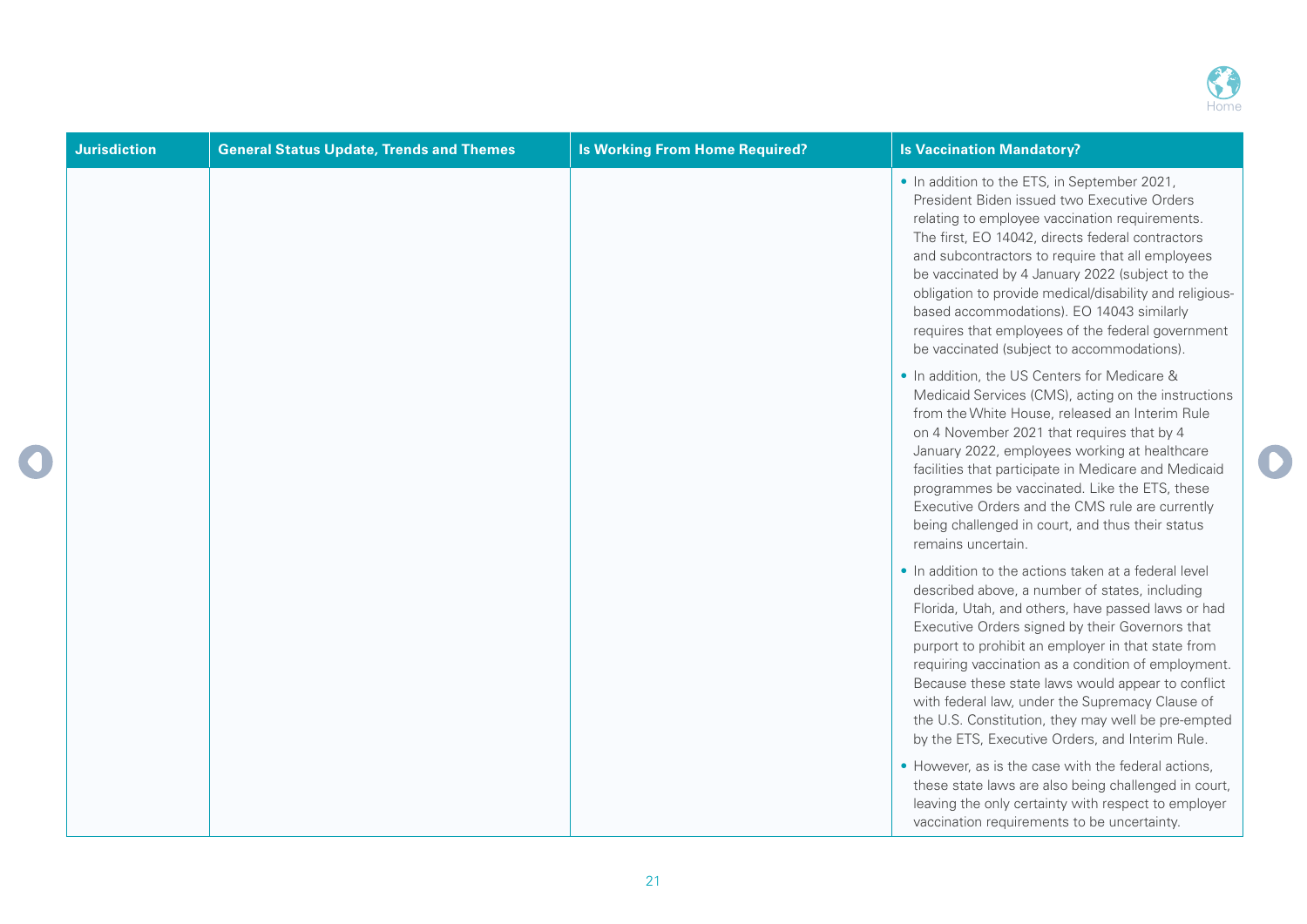

D

| <b>Jurisdiction</b> | <b>General Status Update, Trends and Themes</b> | <b>Is Working From Home Required?</b> | <b>Is Vaccination Mandatory?</b>                                                                                                                                                                                                                                                                                                                                                                                                                                                                                                               |
|---------------------|-------------------------------------------------|---------------------------------------|------------------------------------------------------------------------------------------------------------------------------------------------------------------------------------------------------------------------------------------------------------------------------------------------------------------------------------------------------------------------------------------------------------------------------------------------------------------------------------------------------------------------------------------------|
|                     |                                                 |                                       | • In addition to the ETS, in September 2021,<br>President Biden issued two Executive Orders<br>relating to employee vaccination requirements.<br>The first, EO 14042, directs federal contractors<br>and subcontractors to require that all employees<br>be vaccinated by 4 January 2022 (subject to the<br>obligation to provide medical/disability and religious-<br>based accommodations). EO 14043 similarly<br>requires that employees of the federal government<br>be vaccinated (subject to accommodations).                            |
|                     |                                                 |                                       | . In addition, the US Centers for Medicare &<br>Medicaid Services (CMS), acting on the instructions<br>from the White House, released an Interim Rule<br>on 4 November 2021 that requires that by 4<br>January 2022, employees working at healthcare<br>facilities that participate in Medicare and Medicaid<br>programmes be vaccinated. Like the ETS, these<br>Executive Orders and the CMS rule are currently<br>being challenged in court, and thus their status<br>remains uncertain.                                                     |
|                     |                                                 |                                       | . In addition to the actions taken at a federal level<br>described above, a number of states, including<br>Florida, Utah, and others, have passed laws or had<br>Executive Orders signed by their Governors that<br>purport to prohibit an employer in that state from<br>requiring vaccination as a condition of employment.<br>Because these state laws would appear to conflict<br>with federal law, under the Supremacy Clause of<br>the U.S. Constitution, they may well be pre-empted<br>by the ETS, Executive Orders, and Interim Rule. |
|                     |                                                 |                                       | • However, as is the case with the federal actions,<br>these state laws are also being challenged in court,<br>leaving the only certainty with respect to employer<br>vaccination requirements to be uncertainty.                                                                                                                                                                                                                                                                                                                              |

 $\bigcirc$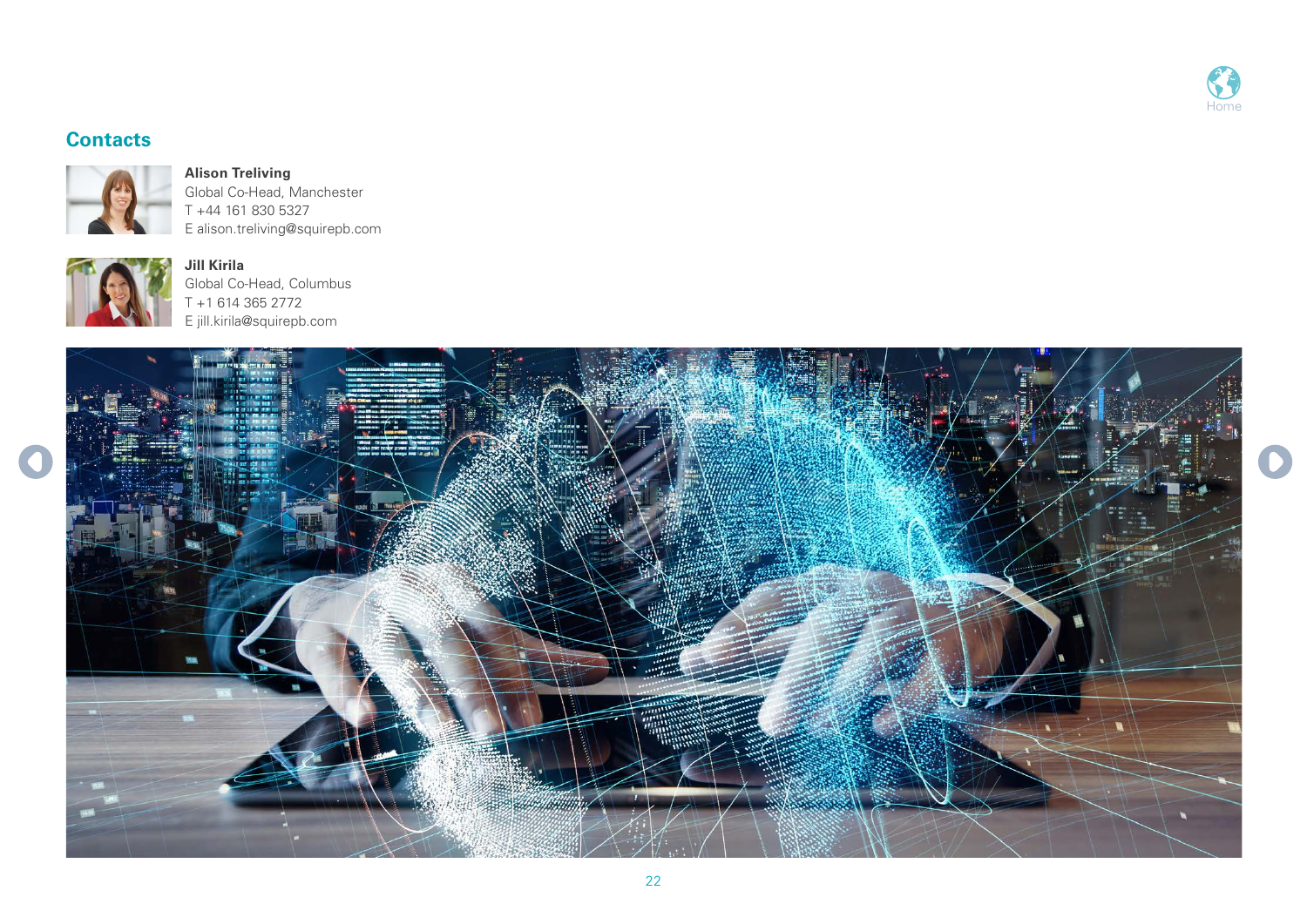

## **Contacts**



**Alison Treliving** Global Co-Head, Manchester T +44 161 830 5327 E alison.treliving@squirepb.com



**Jill Kirila**  Global Co-Head, Columbus T +1 614 365 2772 E jill.kirila@squirepb.com

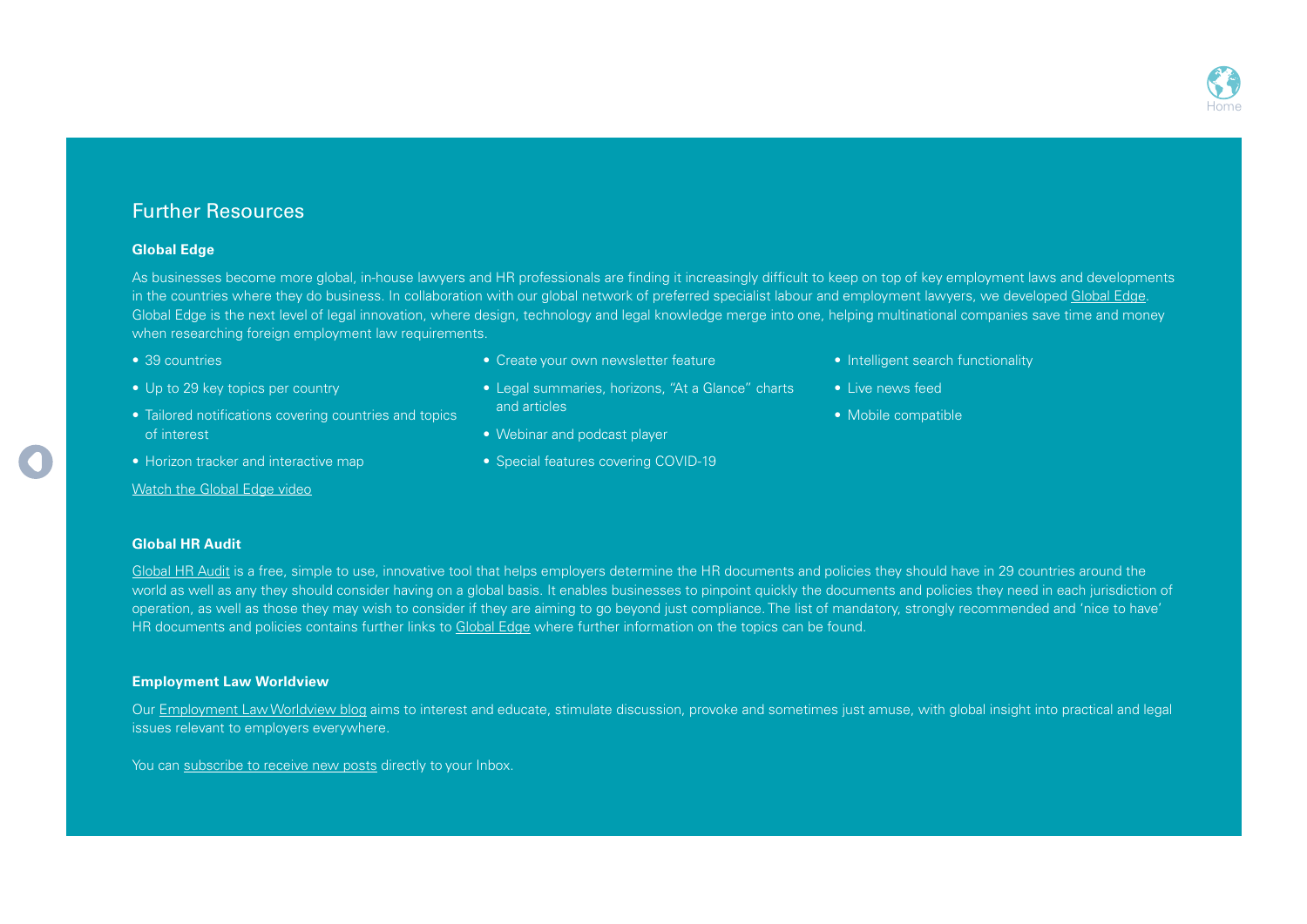## Further Resources

#### **Global Edge**

As businesses become more global, in-house lawyers and HR professionals are finding it increasingly difficult to keep on top of key employment laws and developments in the countries where they do business. In collaboration with our global network of preferred specialist labour and employment lawyers, we developed [Global Edge](https://t.email.squirepbpublications.com/r/?id=h54e7ab8,46969c1,46a4172). Global Edge is the next level of legal innovation, where design, technology and legal knowledge merge into one, helping multinational companies save time and money when researching foreign employment law requirements.

- 39 countries
- Up to 29 key topics per country
- Tailored notifications covering countries and topics of interest
- Horizon tracker and interactive map

Watch the Global Edge video

- Create your own newsletter feature
- Legal summaries, horizons, "At a Glance" charts and articles
- Webinar and podcast player
- Special features covering COVID-19
- Intelligent search functionality
- Live news feed
- Mobile compatible

#### **Global HR Audit**

[Global HR Audit](https://t.email.squirepbpublications.com/r/?id=h54e7ab8,46969c1,46a4168) is a free, simple to use, innovative tool that helps employers determine the HR documents and policies they should have in 29 countries around the world as well as any they should consider having on a global basis. It enables businesses to pinpoint quickly the documents and policies they need in each jurisdiction of operation, as well as those they may wish to consider if they are aiming to go beyond just compliance. The list of mandatory, strongly recommended and 'nice to have' HR documents and policies contains further links to [Global Edge](https://t.email.squirepbpublications.com/r/?id=h54e7ab8,46969c1,46a4172) where further information on the topics can be found.

### **Employment Law Worldview**

Our [Employment Law Worldview blog](https://t.email.squirepbpublications.com/r/?id=h54e7ab8,46969c1,46a4164) aims to interest and educate, stimulate discussion, provoke and sometimes just amuse, with global insight into practical and legal issues relevant to employers everywhere.

You can [subscribe to receive new posts](https://t.email.squirepbpublications.com/r/?id=h54e7ab8,46969c1,46a4166) directly to your Inbox.